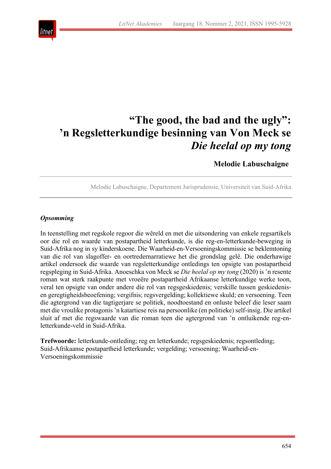

# **"The good, the bad and the ugly": 'n Regsletterkundige besinning van Von Meck se**  *Die heelal op my tong*

**Melodie Labuschaigne**

Melodie Labuschaigne, Departement Jurisprudensie, Universiteit van Suid-Afrika

#### *Opsomming*

In teenstelling met regskole regoor die wêreld en met die uitsondering van enkele regsartikels oor die rol en waarde van postapartheid letterkunde, is die reg-en-letterkunde-beweging in Suid-Afrika nog in sy kinderskoene. Die Waarheid-en-Versoeningskommissie se beklemtoning van die rol van slagoffer- en oortredernarratiewe het die grondslag gelê. Die onderhawige artikel ondersoek die waarde van regsletterkundige ontledings ten opsigte van postapartheid regspleging in Suid-Afrika. Anoeschka von Meck se *Die heelal op my tong* (2020) is 'n resente roman wat sterk raakpunte met vroeëre postapartheid Afrikaanse letterkundige werke toon, veral ten opsigte van onder andere die rol van regsgeskiedenis; verskille tussen geskiedenisen geregtigheidsbeoefening; vergifnis; regsvergelding; kollektiewe skuld; en versoening. Teen die agtergrond van die tagtigerjare se politiek, noodtoestand en onluste beleef die leser saam met die vroulike protagonis 'n katartiese reis na persoonlike (en politieke) self-insig. Die artikel sluit af met die regswaarde van die roman teen die agtergrond van 'n ontluikende reg-enletterkunde-veld in Suid-Afrika.

**Trefwoorde:** letterkunde-ontleding; reg en letterkunde; regsgeskiedenis; regsontleding; Suid-Afrikaanse postapartheid letterkunde; vergelding; versoening; Waarheid-en-Versoeningskommissie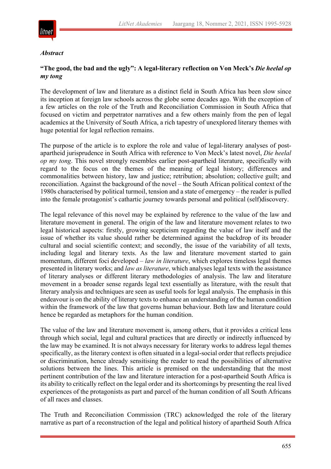

#### *Abstract*

### **"The good, the bad and the ugly": A legal-literary reflection on Von Meck's** *Die heelal op my tong*

The development of law and literature as a distinct field in South Africa has been slow since its inception at foreign law schools across the globe some decades ago. With the exception of a few articles on the role of the Truth and Reconciliation Commission in South Africa that focused on victim and perpetrator narratives and a few others mainly from the pen of legal academics at the University of South Africa, a rich tapestry of unexplored literary themes with huge potential for legal reflection remains.

The purpose of the article is to explore the role and value of legal-literary analyses of postapartheid jurisprudence in South Africa with reference to Von Meck's latest novel, *Die heelal op my tong*. This novel strongly resembles earlier post-apartheid literature, specifically with regard to the focus on the themes of the meaning of legal history; differences and commonalities between history, law and justice; retribution; absolution; collective guilt; and reconciliation. Against the background of the novel – the South African political context of the 1980s characterised by political turmoil, tension and a state of emergency – the reader is pulled into the female protagonist's cathartic journey towards personal and political (self)discovery.

The legal relevance of this novel may be explained by reference to the value of the law and literature movement in general. The origin of the law and literature movement relates to two legal historical aspects: firstly, growing scepticism regarding the value of law itself and the issue of whether its value should rather be determined against the backdrop of its broader cultural and social scientific context; and secondly, the issue of the variability of all texts, including legal and literary texts. As the law and literature movement started to gain momentum, different foci developed – *law in literature*, which explores timeless legal themes presented in literary works; and *law as literature*, which analyses legal texts with the assistance of literary analyses or different literary methodologies of analysis. The law and literature movement in a broader sense regards legal text essentially as literature, with the result that literary analysis and techniques are seen as useful tools for legal analysis. The emphasis in this endeavour is on the ability of literary texts to enhance an understanding of the human condition within the framework of the law that governs human behaviour. Both law and literature could hence be regarded as metaphors for the human condition.

The value of the law and literature movement is, among others, that it provides a critical lens through which social, legal and cultural practices that are directly or indirectly influenced by the law may be examined. It is not always necessary for literary works to address legal themes specifically, as the literary context is often situated in a legal-social order that reflects prejudice or discrimination, hence already sensitising the reader to read the possibilities of alternative solutions between the lines. This article is premised on the understanding that the most pertinent contribution of the law and literature interaction for a post-apartheid South Africa is its ability to critically reflect on the legal order and its shortcomings by presenting the real lived experiences of the protagonists as part and parcel of the human condition of all South Africans of all races and classes.

The Truth and Reconciliation Commission (TRC) acknowledged the role of the literary narrative as part of a reconstruction of the legal and political history of apartheid South Africa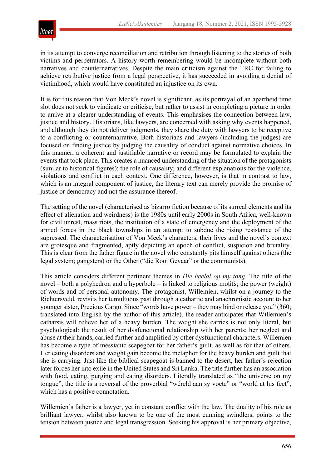

in its attempt to converge reconciliation and retribution through listening to the stories of both victims and perpetrators. A history worth remembering would be incomplete without both narratives and counternarratives. Despite the main criticism against the TRC for failing to achieve retributive justice from a legal perspective, it has succeeded in avoiding a denial of victimhood, which would have constituted an injustice on its own.

It is for this reason that Von Meck's novel is significant, as its portrayal of an apartheid time slot does not seek to vindicate or criticise, but rather to assist in completing a picture in order to arrive at a clearer understanding of events. This emphasises the connection between law, justice and history. Historians, like lawyers, are concerned with asking why events happened, and although they do not deliver judgments, they share the duty with lawyers to be receptive to a conflicting or counternarrative. Both historians and lawyers (including the judges) are focused on finding justice by judging the causality of conduct against normative choices. In this manner, a coherent and justifiable narrative or record may be formulated to explain the events that took place. This creates a nuanced understanding of the situation of the protagonists (similar to historical figures); the role of causality; and different explanations for the violence, violations and conflict in each context. One difference, however, is that in contrast to law, which is an integral component of justice, the literary text can merely provide the promise of justice or democracy and not the assurance thereof.

The setting of the novel (characterised as bizarro fiction because of its surreal elements and its effect of alienation and weirdness) is the 1980s until early 2000s in South Africa, well-known for civil unrest, mass riots, the institution of a state of emergency and the deployment of the armed forces in the black townships in an attempt to subdue the rising resistance of the supressed. The characterisation of Von Meck's characters, their lives and the novel's context are grotesque and fragmented, aptly depicting an epoch of conflict, suspicion and brutality. This is clear from the father figure in the novel who constantly pits himself against others (the legal system; gangsters) or the Other ("die Rooi Gevaar" or the communists).

This article considers different pertinent themes in *Die heelal op my tong*. The title of the novel – both a polyhedron and a hyperbole – is linked to religious motifs; the power (weight) of words and of personal autonomy. The protagonist, Willemien, whilst on a journey to the Richtersveld, revisits her tumultuous past through a cathartic and anachronistic account to her younger sister, Precious Cargo. Since "words have power – they may bind or release you" (360; translated into English by the author of this article), the reader anticipates that Willemien's catharsis will relieve her of a heavy burden. The weight she carries is not only literal, but psychological: the result of her dysfunctional relationship with her parents; her neglect and abuse at their hands, carried further and amplified by other dysfunctional characters. Willemien has become a type of messianic scapegoat for her father's guilt, as well as for that of others. Her eating disorders and weight gain become the metaphor for the heavy burden and guilt that she is carrying. Just like the biblical scapegoat is banned to the desert, her father's rejection later forces her into exile in the United States and Sri Lanka. The title further has an association with food, eating, purging and eating disorders. Literally translated as "the universe on my tongue", the title is a reversal of the proverbial "wêreld aan sy voete" or "world at his feet", which has a positive connotation.

Willemien's father is a lawyer, yet in constant conflict with the law. The duality of his role as brilliant lawyer, whilst also known to be one of the most cunning swindlers, points to the tension between justice and legal transgression. Seeking his approval is her primary objective,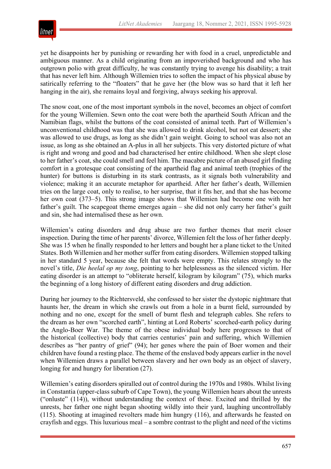

yet he disappoints her by punishing or rewarding her with food in a cruel, unpredictable and ambiguous manner. As a child originating from an impoverished background and who has outgrown polio with great difficulty, he was constantly trying to avenge his disability; a trait that has never left him. Although Willemien tries to soften the impact of his physical abuse by satirically referring to the "floaters" that he gave her (the blow was so hard that it left her hanging in the air), she remains loyal and forgiving, always seeking his approval.

The snow coat, one of the most important symbols in the novel, becomes an object of comfort for the young Willemien. Sewn onto the coat were both the apartheid South African and the Namibian flags, whilst the buttons of the coat consisted of animal teeth. Part of Willemien's unconventional childhood was that she was allowed to drink alcohol, but not eat dessert; she was allowed to use drugs, as long as she didn't gain weight. Going to school was also not an issue, as long as she obtained an A-plus in all her subjects. This very distorted picture of what is right and wrong and good and bad characterised her entire childhood. When she slept close to her father's coat, she could smell and feel him. The macabre picture of an abused girl finding comfort in a grotesque coat consisting of the apartheid flag and animal teeth (trophies of the hunter) for buttons is disturbing in its stark contrasts, as it signals both vulnerability and violence; making it an accurate metaphor for apartheid. After her father's death, Willemien tries on the large coat, only to realise, to her surprise, that it fits her, and that she has become her own coat (373–5). This strong image shows that Willemien had become one with her father's guilt. The scapegoat theme emerges again – she did not only carry her father's guilt and sin, she had internalised these as her own.

Willemien's eating disorders and drug abuse are two further themes that merit closer inspection. During the time of her parents' divorce, Willemien felt the loss of her father deeply. She was 15 when he finally responded to her letters and bought her a plane ticket to the United States. Both Willemien and her mother suffer from eating disorders. Willemien stopped talking in her standard 5 year, because she felt that words were empty. This relates strongly to the novel's title, *Die heelal op my tong*, pointing to her helplessness as the silenced victim. Her eating disorder is an attempt to "obliterate herself, kilogram by kilogram" (75), which marks the beginning of a long history of different eating disorders and drug addiction.

During her journey to the Richtersveld, she confessed to her sister the dystopic nightmare that haunts her, the dream in which she crawls out from a hole in a burnt field, surrounded by nothing and no one, except for the smell of burnt flesh and telegraph cables. She refers to the dream as her own "scorched earth", hinting at Lord Roberts' scorched-earth policy during the Anglo-Boer War. The theme of the obese individual body here progresses to that of the historical (collective) body that carries centuries' pain and suffering, which Willemien describes as "her pantry of grief" (94); her genes where the pain of Boer women and their children have found a resting place. The theme of the enslaved body appears earlier in the novel when Willemien draws a parallel between slavery and her own body as an object of slavery, longing for and hungry for liberation (27).

Willemien's eating disorders spiralled out of control during the 1970s and 1980s. Whilst living in Constantia (upper-class suburb of Cape Town), the young Willemien hears about the unrests ("onluste" (114)), without understanding the context of these. Excited and thrilled by the unrests, her father one night began shooting wildly into their yard, laughing uncontrollably (115). Shooting at imagined revolters made him hungry (116), and afterwards he feasted on crayfish and eggs. This luxurious meal – a sombre contrast to the plight and need of the victims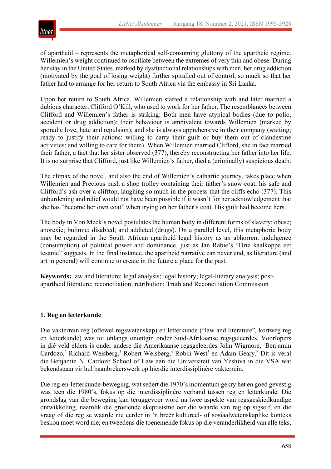

of apartheid – represents the metaphorical self-consuming gluttony of the apartheid regime. Willemien's weight continued to oscillate between the extremes of very thin and obese. During her stay in the United States, marked by dysfunctional relationships with men, her drug addiction (motivated by the goal of losing weight) further spiralled out of control, so much so that her father had to arrange for her return to South Africa via the embassy in Sri Lanka.

Upon her return to South Africa, Willemien started a relationship with and later married a dubious character, Clifford O'Kill, who used to work for her father. The resemblances between Clifford and Willemien's father is striking: Both men have atypical bodies (due to polio, accident or drug addiction); their behaviour is ambivalent towards Willemien (marked by sporadic love, hate and repulsion); and she is always apprehensive in their company (waiting; ready to justify their actions; willing to carry their guilt or buy them out of clandestine activities; and willing to care for them). When Willemien married Clifford, she in fact married their father, a fact that her sister observed (377), thereby reconstructing her father into her life. It is no surprise that Clifford, just like Willemien's father, died a (criminally) suspicious death.

The climax of the novel, and also the end of Willemien's cathartic journey, takes place when Willemien and Precious push a shop trolley containing their father's snow coat, his safe and Clifford's ash over a clifftop, laughing so much in the process that the cliffs echo (377). This unburdening and relief would not have been possible if it wasn't for her acknowledgement that she has "become her own coat" when trying on her father's coat. His guilt had become hers.

The body in Von Meck's novel postulates the human body in different forms of slavery: obese; anorexic; bulimic; disabled; and addicted (drugs). On a parallel level, this metaphoric body may be regarded in the South African apartheid legal history as an abhorrent indulgence (consumption) of political power and dominance, just as Jan Rabie's "Drie kaalkoppe eet tesame" suggests. In the final instance, the apartheid narrative can never end, as literature (and art in general) will continue to create in the future a place for the past.

**Keywords:** law and literature; legal analysis; legal history; legal-literary analysis; postapartheid literature; reconciliation; retribution; Truth and Reconciliation Commission

#### **1. Reg en letterkunde**

Die vakterrein reg (oftewel regswetenskap) en letterkunde ("law and literature"*,* kortweg reg en letterkunde) was tot onlangs onontgin onder Suid-Afrikaanse regsgeleerdes. Voorlopers in dié veld elders is onder andere die Amerikaanse regsgeleerdes John Wigmore,<sup>1</sup> Benjamin Cardozo,<sup>2</sup> Richard Weisberg,<sup>3</sup> Robert Weisberg,<sup>4</sup> Robin West<sup>5</sup> en Adam Geary.<sup>6</sup> Dit is veral die Benjamin N. Cardozo School of Law aan die Universiteit van Yeshiva in die VSA wat bekendstaan vir hul baanbrekerswerk op hierdie interdissiplinêre vakterrein.

Die reg-en-letterkunde-beweging, wat sedert die 1970's momentum gekry het en goed gevestig was teen die 1980's, fokus op die interdissiplinêre verband tussen reg en letterkunde. Die grondslag van die beweging kan teruggevoer word na twee aspekte van regsgeskiedkundige ontwikkeling, naamlik die groeiende skeptisisme oor die waarde van reg op sigself, en die vraag of die reg se waarde nie eerder in 'n breër kultureel- of sosiaalwetenskaplike konteks beskou moet word nie; en tweedens die toenemende fokus op die veranderlikheid van alle teks,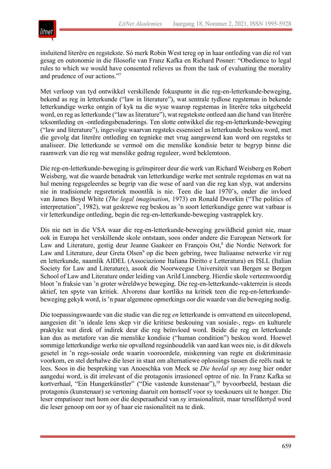

insluitend literêre en regstekste. Só merk Robin West tereg op in haar ontleding van die rol van gesag en outonomie in die filosofie van Franz Kafka en Richard Posner: "Obedience to legal rules to which we would have consented relieves us from the task of evaluating the morality and prudence of our actions."7

Met verloop van tyd ontwikkel verskillende fokuspunte in die reg-en-letterkunde-beweging, bekend as reg in letterkunde ("law in literature"), wat sentrale tydlose regstemas in bekende letterkundige werke ontgin of kyk na die wyse waarop regstemas in literêre teks uitgebeeld word, en reg as letterkunde ("law as literature"), wat regstekste ontleed aan die hand van literêre teksontleding en -ontledingsbenaderings. Ten slotte ontwikkel die reg-en-letterkunde-beweging ("law and literature"), ingevolge waarvan regsteks essensieel as letterkunde beskou word, met die gevolg dat literêre ontleding en tegnieke met vrug aangewend kan word om regsteks te analiseer. Die letterkunde se vermoë om die menslike kondisie beter te begryp binne die raamwerk van die reg wat menslike gedrag reguleer, word beklemtoon.

Die reg-en-letterkunde-beweging is geïnspireer deur die werk van Richard Weisberg en Robert Weisberg, wat die waarde benadruk van letterkundige werke met sentrale regstemas en wat na hul mening regsgeleerdes se begrip van die wese of aard van die reg kan slyp, wat andersins nie in tradisionele regsretoriek moontlik is nie. Teen die laat 1970's, onder die invloed van James Boyd White (*The legal imagination*, 1973) en Ronald Dworkin ("The politics of interpretation", 1982), wat geskrewe reg beskou as 'n soort letterkundige genre wat vatbaar is vir letterkundige ontleding, begin die reg-en-letterkunde-beweging vastrapplek kry.

Dis nie net in die VSA waar die reg-en-letterkunde-beweging gewildheid geniet nie, maar ook in Europa het verskillende skole ontstaan, soos onder andere die European Network for Law and Literature, gestig deur Jeanne Gaakeer en François Ost,<sup>8</sup> die Nordic Network for Law and Literature, deur Greta Olsen<sup>9</sup> op die been gebring, twee Italiaanse netwerke vir reg en letterkunde, naamlik AIDEL (Associazione Italiana Diritto e Letteratura) en ISLL (Italian Society for Law and Literature), asook die Noorweegse Universiteit van Bergen se Bergen School of Law and Literature onder leiding van Arild Linneberg. Hierdie skole verteenwoordig bloot 'n fraksie van 'n groter wêreldwye beweging. Die reg-en-letterkunde-vakterrein is steeds aktief, ten spyte van kritiek. Alvorens daar kortliks na kritiek teen die reg-en-letterkundebeweging gekyk word, is 'n paar algemene opmerkings oor die waarde van die beweging nodig.

Die toepassingswaarde van die studie van die reg *en* letterkunde is omvattend en uiteenlopend, aangesien dit 'n ideale lens skep vir die kritiese beskouing van sosiale-, regs- en kulturele praktyke wat direk of indirek deur die reg beïnvloed word. Beide die reg en letterkunde kan dus as metafore van die menslike kondisie ("human condition") beskou word. Hoewel sommige letterkundige werke nie opvallend regsinhoudelik van aard kan wees nie, is dit dikwels gesetel in 'n regs-sosiale orde waarin vooroordele, miskenning van regte en diskriminasie voorkom, en stel derhalwe die leser in staat om alternatiewe oplossings tussen die reëls raak te lees. Soos in die bespreking van Anoeschka von Meck se *Die heelal op my tong* hier onder aangedui word, is dit irrelevant of die protagonis irrasioneel optree of nie. In Franz Kafka se kortverhaal, "Ein Hungerkünstler" ("Die vastende kunstenaar"),<sup>10</sup> byvoorbeeld, bestaan die protagonis (kunstenaar) se vertoning daaruit om homself voor sy toeskouers uit te honger. Die leser empatiseer met hom oor die desperaatheid van sy irrasionaliteit, maar terselfdertyd word die leser genoop om oor sy of haar eie rasionaliteit na te dink.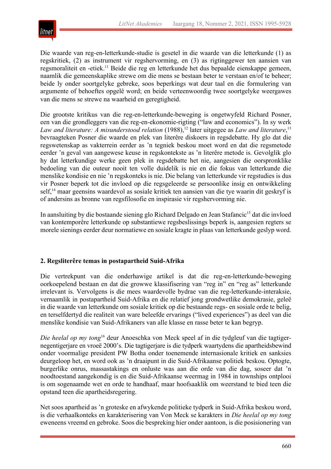

Die waarde van reg-en-letterkunde-studie is gesetel in die waarde van die letterkunde (1) as regskritiek, (2) as instrument vir regshervorming, en (3) as rigtinggewer ten aansien van regsmoraliteit en -etiek.<sup>11</sup> Beide die reg en letterkunde het dus bepaalde eienskappe gemeen, naamlik die gemeenskaplike strewe om die mens se bestaan beter te verstaan en/of te beheer; beide ly onder soortgelyke gebreke, soos beperkings wat deur taal en die formulering van argumente of behoeftes opgelê word; en beide verteenwoordig twee soortgelyke weergawes van die mens se strewe na waarheid en geregtigheid.

Die grootste kritikus van die reg-en-letterkunde-beweging is ongetwyfeld Richard Posner, een van die grondleggers van die reg-en-ekonomie-rigting ("law and economics"). In sy werk Law and literature: A misunderstood relation (1988),<sup>12</sup> later uitgegee as Law and literature,<sup>13</sup> bevraagteken Posner die waarde en plek van literêre diskoers in regsdebatte. Hy glo dat die regswetenskap as vakterrein eerder as 'n tegniek beskou moet word en dat die regsmetode eerder 'n geval van aangewese keuse in regskontekste as 'n literêre metode is. Gevolglik glo hy dat letterkundige werke geen plek in regsdebatte het nie, aangesien die oorspronklike bedoeling van die outeur nooit ten volle duidelik is nie en die fokus van letterkunde die menslike kondisie en nie 'n regskonteks is nie. Die belang van letterkunde vir regstudies is dus vir Posner beperk tot die invloed op die regsgeleerde se persoonlike insig en ontwikkeling self,<sup>14</sup> maar geensins waardevol as sosiale kritiek ten aansien van die tye waarin dit geskryf is of andersins as bronne van regsfilosofie en inspirasie vir regshervorming nie.

In aansluiting by die bostaande siening glo Richard Delgado en Jean Stafancic<sup>15</sup> dat die invloed van kontemporêre letterkunde op substantiewe regsbeslissings beperk is, aangesien regters se morele sienings eerder deur normatiewe en sosiale kragte in plaas van letterkunde geslyp word.

# **2. Regsliterêre temas in postapartheid Suid-Afrika**

Die vertrekpunt van die onderhawige artikel is dat die reg-en-letterkunde-beweging oorkoepelend bestaan en dat die growwe klassifisering van "reg in" en "reg as" letterkunde irrelevant is. Vervolgens is die mees waardevolle bydrae van die reg-letterkunde-interaksie, vernaamlik in postapartheid Suid-Afrika en die relatief jong grondwetlike demokrasie, geleë in die waarde van letterkunde om sosiale kritiek op die bestaande regs- en sosiale orde te belig, en terselfdertyd die realiteit van ware beleefde ervarings ("lived experiences") as deel van die menslike kondisie van Suid-Afrikaners van alle klasse en rasse beter te kan begryp.

*Die heelal op my tong*<sup>16</sup> deur Anoeschka von Meck speel af in die tydgleuf van die tagtigernegentigerjare en vroeë 2000's. Die tagtigerjare is die tydperk waartydens die apartheidsbewind onder voormalige president PW Botha onder toenemende internasionale kritiek en sanksies deurgeloop het, en word ook as 'n draaipunt in die Suid-Afrikaanse politiek beskou. Optogte, burgerlike onrus, massastakings en onluste was aan die orde van die dag, soseer dat 'n noodtoestand aangekondig is en die Suid-Afrikaanse weermag in 1984 in townships ontplooi is om sogenaamde wet en orde te handhaaf, maar hoofsaaklik om weerstand te bied teen die opstand teen die apartheidsregering.

Net soos apartheid as 'n groteske en afwykende politieke tydperk in Suid-Afrika beskou word, is die verhaalkonteks en karakterisering van Von Meck se karakters in *Die heelal op my tong*  eweneens vreemd en gebroke. Soos die bespreking hier onder aantoon, is die posisionering van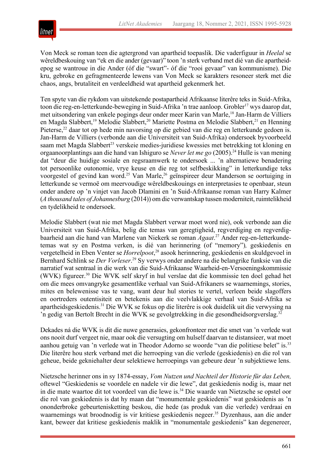

Von Meck se roman teen die agtergrond van apartheid toepaslik. Die vaderfiguur in *Heelal* se wêreldbeskouing van "ek en die ander (gevaar)" toon 'n sterk verband met dié van die apartheidepog se wantroue in die Ander (óf die "swart"- óf die "rooi gevaar" van kommunisme). Die kru, gebroke en gefragmenteerde lewens van Von Meck se karakters resoneer sterk met die chaos, angs, brutaliteit en verdeeldheid wat apartheid gekenmerk het.

Ten spyte van die rykdom van uitstekende postapartheid Afrikaanse literêre teks in Suid-Afrika, toon die reg-en-letterkunde-beweging in Suid-Afrika 'n trae aanloop. Grobler<sup>17</sup> wys daarop dat, met uitsondering van enkele pogings deur onder meer Karin van Marle,<sup>18</sup> Jan-Harm de Villiers en Magda Slabbert,<sup>19</sup> Melodie Slabbert,<sup>20</sup> Mariette Postma en Melodie Slabbert,<sup>21</sup> en Henning Pieterse,<sup>22</sup> daar tot op hede min navorsing op die gebied van die reg en letterkunde gedoen is. Jan-Harm de Villiers (verbonde aan die Universiteit van Suid-Afrika) ondersoek byvoorbeeld saam met Magda Slabbert<sup>23</sup> verskeie medies-juridiese kwessies met betrekking tot kloning en orgaanoorplantings aan die hand van Ishiguro se *Never let me go* (2005).24 Hulle is van mening dat "deur die huidige sosiale en regsraamwerk te ondersoek ... 'n alternatiewe benadering tot persoonlike outonomie, vrye keuse en die reg tot selfbeskikking" in letterkundige teks voorgestel of gevind kan word.<sup>25</sup> Van Marle,<sup>26</sup> geïnspireer deur Manderson se oortuiging in letterkunde se vermoë om meervoudige wêreldbeskouings en interpretasies te openbaar, steun onder andere op 'n vinjet van Jacob Dlamini en 'n Suid-Afrikaanse roman van Harry Kalmer (*A thousand tales of Johannesburg* (2014)) om die verwantskap tussen moderniteit, ruimtelikheid en tydelikheid te ondersoek.

Melodie Slabbert (wat nie met Magda Slabbert verwar moet word nie), ook verbonde aan die Universiteit van Suid-Afrika, belig die temas van geregtigheid, regverdiging en regverdigbaarheid aan die hand van Marlene van Niekerk se roman *Agaat*. <sup>27</sup> Ander reg-en-letterkundetemas wat sy en Postma verken, is dié van herinnering (of "memory")*,* geskiedenis en vergetelheid in Eben Venter se *Horrelpoot*, <sup>28</sup> asook herinnering, geskiedenis en skuldgevoel in Bernhard Schlink se *Der Vorleser*. <sup>29</sup> Sy verwys onder andere na die belangrike funksie van die narratief wat sentraal in die werk van die Suid-Afrikaanse Waarheid-en-Versoeningskommissie (WVK) figureer.30 Die WVK self skryf in hul verslae dat die kommissie ten doel gehad het om die mees omvangryke gesamentlike verhaal van Suid-Afrikaners se waarnemings, stories, mites en belewenisse vas te vang, want deur hul stories te vertel, verleen beide slagoffers en oortreders outentisiteit en betekenis aan die veelvlakkige verhaal van Suid-Afrika se apartheidsgeskiedenis.31 Die WVK se fokus op die literêre is ook duidelik uit die verwysing na 'n gedig van Bertolt Brecht in die WVK se gevolgtrekking in die gesondheidsorgverslag.<sup>32</sup>

Dekades ná die WVK is dit die nuwe generasies, gekonfronteer met die smet van 'n verlede wat ons nooit durf vergeet nie, maar ook die versugting om hulself daarvan te distansieer, wat moet aanhou getuig van 'n verlede wat in Theodor Adorno se woorde "van die politiese belet" is.<sup>33</sup> Die literêre hou sterk verband met die herroeping van die verlede (geskiedenis) en die rol van geheue, beide gekniehalter deur selektiewe herroepings van gebeure deur 'n subjektiewe lens.

Nietzsche herinner ons in sy 1874-essay, *Vom Nutzen und Nachteil der Historie für das Leben,* oftewel "Geskiedenis se voordele en nadele vir die lewe", dat geskiedenis nodig is, maar net in die mate waartoe dit tot voordeel van die lewe is.34 Die waarde van Nietzsche se opstel oor die rol van geskiedenis is dat hy maan dat "monumentale geskiedenis" wat geskiedenis as 'n ononderbroke gebeurtenisketting beskou, die hede (as produk van die verlede) verdraai en waarnemings wat broodnodig is vir kritiese geskiedenis negeer.<sup>35</sup> Dyzenhaus, aan die ander kant, beweer dat kritiese geskiedenis maklik in "monumentale geskiedenis" kan degenereer,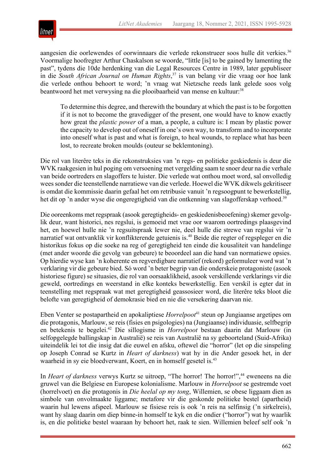

aangesien die oorlewendes of oorwinnaars die verlede rekonstrueer soos hulle dit verkies.<sup>36</sup> Voormalige hoofregter Arthur Chaskalson se woorde, "little [is] to be gained by lamenting the past", tydens die 10de herdenking van die Legal Resources Centre in 1989, later gepubliseer in die *South African Journal on Human Rights*, <sup>37</sup> is van belang vir die vraag oor hoe lank die verlede onthou behoort te word; 'n vraag wat Nietzsche reeds lank gelede soos volg beantwoord het met verwysing na die plooibaarheid van mense en kultuur:<sup>38</sup>

To determine this degree, and therewith the boundary at which the past is to be forgotten if it is not to become the gravedigger of the present, one would have to know exactly how great the *plastic power* of a man, a people, a culture is: I mean by plastic power the capacity to develop out of oneself in one's own way, to transform and to incorporate into oneself what is past and what is foreign, to heal wounds, to replace what has been lost, to recreate broken moulds (outeur se beklemtoning).

Die rol van literêre teks in die rekonstruksies van 'n regs- en politieke geskiedenis is deur die WVK raakgesien in hul poging om versoening met vergelding saam te snoer deur na die verhale van beide oortreders en slagoffers te luister. Die verlede wat onthou moet word, sal onvolledig wees sonder die teenstellende narratiewe van die verlede. Hoewel die WVK dikwels gekritiseer is omdat die kommissie daarin gefaal het om retribusie vanuit 'n regsoogpunt te bewerkstellig, het dit op 'n ander wyse die ongeregtigheid van die ontkenning van slagofferskap verhoed.<sup>39</sup>

Die ooreenkoms met regspraak (asook geregtigheids- en geskiedenisbeoefening) skemer gevolglik deur, want historici, nes regslui, is gemoeid met vrae oor waarom oortredings plaasgevind het, en hoewel hulle nie 'n regsuitspraak lewer nie, deel hulle die strewe van regslui vir 'n narratief wat ontvanklik vir konflikterende getuienis is.<sup>40</sup> Beide die regter of regspleger en die historikus fokus op die soeke na reg of geregtigheid ten einde die kousaliteit van handelinge (met ander woorde die gevolg van gebeure) te beoordeel aan die hand van normatiewe opsies. Op hierdie wyse kan 'n koherente en regverdigbare narratief (rekord) geformuleer word wat 'n verklaring vir die gebeure bied. Só word 'n beter begrip van die onderskeie protagoniste (asook historiese figure) se situasies, die rol van oorsaaklikheid, asook verskillende verklarings vir die geweld, oortredings en weerstand in elke konteks bewerkstellig. Een verskil is egter dat in teenstelling met regspraak wat met geregtigheid geassosieer word, die literêre teks bloot die belofte van geregtigheid of demokrasie bied en nie die versekering daarvan nie.

Eben Venter se postapartheid en apokaliptiese *Horrelpoot*<sup>41</sup> steun op Jungiaanse argetipes om die protagonis, Marlouw, se reis (fisies en psigologies) na (Jungiaanse) individuasie, selfbegrip en betekenis te begelei.42 Die sillogisme in *Horrelpoot* bestaan daarin dat Marlouw (in selfopgelegde ballingskap in Australië) se reis van Australië na sy geboorteland (Suid-Afrika) uiteindelik lei tot die insig dat die euwel en afsku, oftewel die "horror" (let op die sinspeling op Joseph Conrad se Kurtz in *Heart of darkness*) wat hy in die Ander gesoek het, in der waarheid in sy eie bloedverwant, Koert, en in homself gesetel is.<sup>43</sup>

In *Heart of darkness* verwys Kurtz se uitroep, "The horror! The horror!",<sup>44</sup> eweneens na die gruwel van die Belgiese en Europese kolonialisme. Marlouw in *Horrelpoot* se gestremde voet (horrelvoet) en die protagonis in *Die heelal op my tong*, Willemien, se obese liggaam dien as simbole van onvolmaakte liggame; metafore vir die geskonde politieke bestel (apartheid) waarin hul lewens afspeel. Marlouw se fisiese reis is ook 'n reis na selfinsig ('n sirkelreis), want hy slaag daarin om diep binne-in homself te kyk en die ondier ("horror") wat hy waarlik is, en die politieke bestel waaraan hy behoort het, raak te sien. Willemien beleef self ook 'n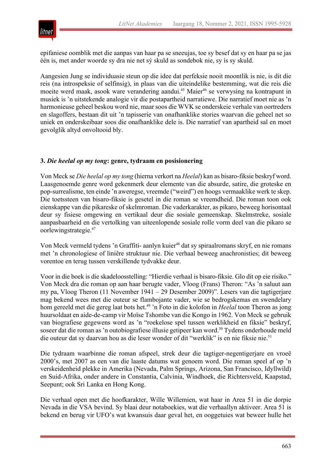

epifaniese oomblik met die aanpas van haar pa se sneeujas, toe sy besef dat sy en haar pa se jas één is, met ander woorde sy dra nie net sý skuld as sondebok nie, sy ís sy skuld.

Aangesien Jung se individuasie steun op die idee dat perfeksie nooit moontlik is nie, is dit die reis (na introspeksie of selfinsig), in plaas van die uiteindelike bestemming, wat die reis die moeite werd maak, asook ware verandering aandui.<sup>45</sup> Maier<sup>46</sup> se verwysing na kontrapunt in musiek is 'n uitstekende analogie vir die postapartheid narratiewe. Die narratief moet nie as 'n harmonieuse geheel beskou word nie, maar soos die WVK se onderskeie verhale van oortreders en slagoffers, bestaan dit uit 'n tapisserie van onafhanklike stories waarvan die geheel net so uniek en onderskeibaar soos die onafhanklike dele is. Die narratief van apartheid sal en moet gevolglik altyd onvoltooid bly.

#### **3.** *Die heelal op my tong***: genre, tydraam en posisionering**

Von Meck se *Die heelal op my tong* (hierna verkort na *Heelal*) kan as bisaro-fiksie beskryf word. Laasgenoemde genre word gekenmerk deur elemente van die absurde, satire, die groteske en pop-surrealisme, ten einde 'n aweregse, vreemde ("weird") en hoogs vermaaklike werk te skep. Die toetssteen van bisaro-fiksie is gesetel in die roman se vreemdheid. Die roman toon ook eienskappe van die pikareske of skelmroman. Die vaderkarakter, as pikaro, beweeg horisontaal deur sy fisiese omgewing en vertikaal deur die sosiale gemeenskap. Skelmstreke, sosiale aanpasbaarheid en die vertolking van uiteenlopende sosiale rolle vorm deel van die pikaro se oorlewingstrategie.47

Von Meck vermeld tydens 'n Graffiti- aanlyn kuier<sup>48</sup> dat sy spiraalromans skryf, en nie romans met 'n chronologiese of liniêre struktuur nie. Die verhaal beweeg anachronisties; dit beweeg vorentoe en terug tussen verskillende tydvakke deur.

Voor in die boek is die skadeloosstelling: "Hierdie verhaal is bisaro-fiksie. Glo dit op eie risiko." Von Meck dra die roman op aan haar berugte vader, Vloog (Frans) Theron: "As 'n saluut aan my pa, Vloog Theron (11 November 1941 – 29 Desember 2009)". Lesers van die tagtigerjare mag bekend wees met die outeur se flambojante vader, wie se bedrogskemas en swendelary hom gereeld met die gereg laat bots het.<sup>49</sup> 'n Foto in die kolofon in *Heelal* toon Theron as jong huursoldaat en aide-de-camp vir Moïse Tshombe van die Kongo in 1962. Von Meck se gebruik van biografiese gegewens word as 'n "roekelose spel tussen werklikheid en fiksie" beskryf, soseer dat die roman as 'n outobiografiese illusie getipeer kan word.<sup>50</sup> Tydens onderhoude meld die outeur dat sy daarvan hou as die leser wonder of dit "werklik" is en nie fiksie nie.51

Die tydraam waarbinne die roman afspeel, strek deur die tagtiger-negentigerjare en vroeë 2000's, met 2007 as een van die laaste datums wat genoem word. Die roman speel af op 'n verskeidenheid plekke in Amerika (Nevada, Palm Springs, Arizona, San Francisco, Idyllwild) en Suid-Afrika, onder andere in Constantia, Calvinia, Windhoek, die Richtersveld, Kaapstad, Seepunt; ook Sri Lanka en Hong Kong.

Die verhaal open met die hoofkarakter, Wille Willemien, wat haar in Area 51 in die dorpie Nevada in die VSA bevind. Sy blaai deur notaboekies, wat die verhaallyn aktiveer. Area 51 is bekend en berug vir UFO's wat kwansuis daar geval het, en ooggetuies wat beweer hulle het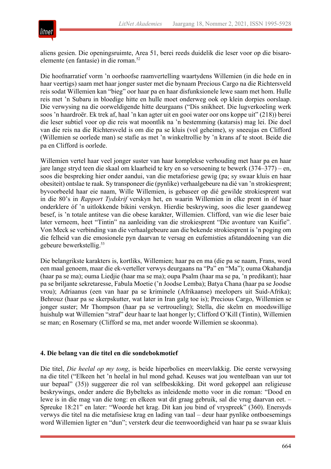

aliens gesien. Die openingsruimte, Area 51, berei reeds duidelik die leser voor op die bisaroelemente (en fantasie) in die roman.52

Die hoofnarratief vorm 'n oorhoofse raamvertelling waartydens Willemien (in die hede en in haar veertigs) saam met haar jonger suster met die bynaam Precious Cargo na die Richtersveld reis sodat Willemien kan "bieg" oor haar pa en haar disfunksionele lewe saam met hom. Hulle reis met 'n Subaru in bloedige hitte en hulle moet onderweg ook op klein dorpies oorslaap. Die verwysing na die oorweldigende hitte deurgaans ("Dis snikheet. Die lugverkoeling werk soos 'n haardroër. Ek trek af, haal 'n kan agter uit en gooi water oor ons koppe uit" (218)) berei die leser subtiel voor op die reis wat moontlik na 'n bestemming (katarsis) mag lei. Die doel van die reis na die Richtersveld is om die pa se kluis (vol geheime), sy sneeujas en Clifford (Willemien se oorlede man) se stafie as met 'n winkeltrollie by 'n krans af te stoot. Beide die pa en Clifford is oorlede.

Willemien vertel haar veel jonger suster van haar komplekse verhouding met haar pa en haar jare lange stryd teen die skaal om klaarheid te kry en so versoening te bewerk (374–377) – en, soos die bespreking hier onder aandui, van die metaforiese gewig (pa; sy swaar kluis en haar obesiteit) ontslae te raak. Sy transponeer die (pynlike) verhaalgebeure na dié van 'n strokiesprent; byvoorbeeld haar eie naam, Wille Willemien, is gebaseer op dié gewilde strokiesprent wat in die 80's in *Rapport Tydskrif* verskyn het, en waarin Willemien in elke prent in óf haar onderklere óf 'n uitlokkende bikini verskyn. Hierdie beskrywing, soos die leser gaandeweg besef, is 'n totale antitese van die obese karakter, Willemien. Clifford, van wie die leser baie later verneem, heet "Tintin" na aanleiding van die strokiesprent "Die avonture van Kuifie". Von Meck se verbinding van die verhaalgebeure aan die bekende strokiesprent is 'n poging om die felheid van die emosionele pyn daarvan te versag en eufemisties afstanddoening van die gebeure bewerkstellig.53

Die belangrikste karakters is, kortliks, Willemien; haar pa en ma (die pa se naam, Frans, word een maal genoem, maar die ek-verteller verwys deurgaans na "Pa" en "Ma"); ouma Okahandja (haar pa se ma); ouma Liedjie (haar ma se ma); oupa Psalm (haar ma se pa, 'n predikant); haar pa se briljante sekretaresse, Fabula Moetie ('n Joodse Lemba); Batya Chana (haar pa se Joodse vrou); Adriaanus (een van haar pa se kriminele (Afrikaanse) meelopers uit Suid-Afrika); Behrouz (haar pa se skerpskutter, wat later in Iran galg toe is); Precious Cargo, Willemien se jonger suster; Mr Thompson (haar pa se vertroueling); Stella, die skelm en moedswillige huishulp wat Willemien "straf" deur haar te laat honger ly; Clifford O'Kill (Tintin), Willemien se man; en Rosemary (Clifford se ma, met ander woorde Willemien se skoonma).

#### **4. Die belang van die titel en die sondebokmotief**

Die titel, *Die heelal op my tong*, is beide hiperbolies en meervlakkig. Die eerste verwysing na die titel ("Elkeen het 'n heelal in hul mond gehad. Keuses wat jou wentelbaan van uur tot uur bepaal" (35)) suggereer die rol van selfbeskikking. Dit word gekoppel aan religieuse beskrywings, onder andere die Bybelteks as inleidende motto voor in die roman: "Dood en lewe is in die mag van die tong: en elkeen wat dit graag gebruik, sal die vrug daarvan eet. – Spreuke 18:21" en later: "Woorde het krag. Dit kan jou bind of vryspreek" (360). Enersyds verwys die titel na die metafisiese krag en lading van taal – deur haar pynlike ontboesemings word Willemien ligter en "dun"; versterk deur die teenwoordigheid van haar pa se swaar kluis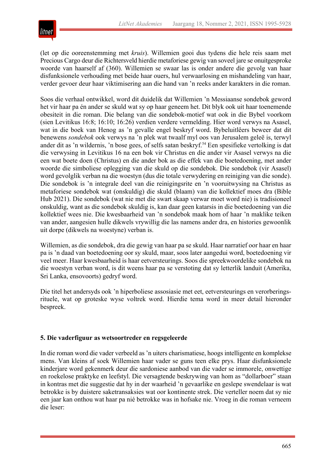

(let op die ooreenstemming met *kruis*). Willemien gooi dus tydens die hele reis saam met Precious Cargo deur die Richtersveld hierdie metaforiese gewig van soveel jare se onuitgesproke woorde van haarself af (360). Willemien se swaar las is onder andere die gevolg van haar disfunksionele verhouding met beide haar ouers, hul verwaarlosing en mishandeling van haar, verder gevoer deur haar viktimisering aan die hand van 'n reeks ander karakters in die roman.

Soos die verhaal ontwikkel, word dit duidelik dat Willemien 'n Messiaanse sondebok geword het vir haar pa én ander se skuld wat sy op haar geneem het. Dit blyk ook uit haar toenemende obesiteit in die roman. Die belang van die sondebok-motief wat ook in die Bybel voorkom (sien Levitikus 16:8; 16:10; 16:26) verdien verdere vermelding. Hier word verwys na Asasel, wat in die boek van Henog as 'n gevalle engel beskryf word. Bybeluitlêers beweer dat dit benewens *sondebok* ook verwys na 'n plek wat twaalf myl oos van Jerusalem geleë is, terwyl ander dit as 'n wildernis, 'n bose gees, of selfs satan beskryf.<sup>54</sup> Een spesifieke vertolking is dat die verwysing in Levitikus 16 na een bok vir Christus en die ander vir Asasel verwys na die een wat boete doen (Christus) en die ander bok as die effek van die boetedoening, met ander woorde die simboliese oplegging van die skuld op die sondebok. Die sondebok (vir Asasel) word gevolglik verban na die woestyn (dus die totale verwydering en reiniging van die sonde). Die sondebok is 'n integrale deel van die reinigingsrite en 'n vooruitwysing na Christus as metaforiese sondebok wat (onskuldig) die skuld (blaam) van die kollektief moes dra (Bible Hub 2021). Die sondebok (wat nie met die swart skaap verwar moet word nie) is tradisioneel onskuldig, want as die sondebok skuldig is, kan daar geen katarsis in die boetedoening van die kollektief wees nie. Die kwesbaarheid van 'n sondebok maak hom of haar 'n maklike teiken van ander, aangesien hulle dikwels vrywillig die las namens ander dra, en histories gewoonlik uit dorpe (dikwels na woestyne) verban is.

Willemien, as die sondebok, dra die gewig van haar pa se skuld. Haar narratief oor haar en haar pa is 'n daad van boetedoening oor sy skuld, maar, soos later aangedui word, boetedoening vir veel meer. Haar kwesbaarheid is haar eetversteurings. Soos die spreekwoordelike sondebok na die woestyn verban word, is dit weens haar pa se verstoting dat sy letterlik landuit (Amerika, Sri Lanka, ensovoorts) gedryf word.

Die titel het andersyds ook 'n hiperboliese assosiasie met eet, eetversteurings en verorberingsrituele, wat op groteske wyse voltrek word. Hierdie tema word in meer detail hieronder bespreek.

# **5. Die vaderfiguur as wetsoortreder en regsgeleerde**

In die roman word die vader verbeeld as 'n uiters charismatiese, hoogs intelligente en komplekse mens. Van kleins af soek Willemien haar vader se guns teen elke prys. Haar disfunksionele kinderjare word gekenmerk deur die sardoniese aanbod van die vader se immorele, onwettige en roekelose praktyke en leefstyl. Die versagtende beskrywing van hom as "dollarboer" staan in kontras met die suggestie dat hy in der waarheid 'n gevaarlike en geslepe swendelaar is wat betrokke is by duistere saketransaksies wat oor kontinente strek. Die verteller noem dat sy nie een jaar kan onthou wat haar pa nié betrokke was in hofsake nie. Vroeg in die roman verneem die leser: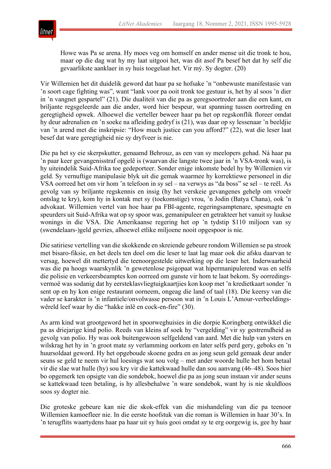

Howe was Pa se arena. Hy moes veg om homself en ander mense uit die tronk te hou, maar op die dag wat hy my laat uitgooi het, was dit asof Pa besef het dat hy self die gevaarlikste aanklaer in sy huis toegelaat het. Vir mý. Sy dogter. (20)

Vir Willemien het dit duidelik geword dat haar pa se hofsake 'n "onbewuste manifestasie van 'n soort cage fighting was", want "lank voor pa ooit tronk toe gestuur is, het hy al soos 'n dier in 'n vangnet gespartel" (21). Die dualiteit van die pa as geregsoortreder aan die een kant, en briljante regsgeleerde aan die ander, word hier bespeur, wat spanning tussen oortreding en geregtigheid opwek. Alhoewel die verteller beweer haar pa het op regskonflik floreer omdat hy deur adrenalien en 'n soeke na afleiding gedryf is (21), was daar op sy lessenaar 'n beeldjie van 'n arend met die inskripsie: "How much justice can you afford?" (22), wat die leser laat besef dat ware geregtigheid nie sy dryfveer is nie.

Die pa het sy eie skerpskutter, genaamd Behrouz, as een van sy meelopers gehad. Ná haar pa 'n paar keer gevangenisstraf opgelê is (waarvan die langste twee jaar in 'n VSA-tronk was), is hy uiteindelik Suid-Afrika toe gedeporteer. Sonder enige inkomste bedel hy by Willemien vir geld. Sy vernuftige manipulasie blyk uit die gemak waarmee hy korrektiewe personeel in die VSA oorreed het om vir hom 'n telefoon in sy sel – na verwys as "da boss" se sel – te reël. As gevolg van sy briljante regskennis en insig (hy het verskeie gevangenes gehelp om vroeër ontslag te kry), kom hy in kontak met sy (toekomstige) vrou, 'n Jodin (Batya Chana), ook 'n advokaat. Willemien vertel van hoe haar pa FBI-agente, regeringsamptenare, spesmagte en speurders uit Suid-Afrika wat op sy spoor was, gemanipuleer en getrakteer het vanuit sy luukse wonings in die VSA. Die Amerikaanse regering het op 'n tydstip \$110 miljoen van sy (swendelaars-)geld gevries, alhoewel etlike miljoene nooit opgespoor is nie.

Die satiriese vertelling van die skokkende en skreiende gebeure rondom Willemien se pa strook met bisaro-fiksie, en het deels ten doel om die leser te laat lag maar ook die afsku daarvan te versag, hoewel dit mettertyd die teenoorgestelde uitwerking op die leser het. Inderwaarheid was die pa hoogs waarskynlik 'n gewetenlose psigopaat wat hipermanipulerend was en selfs die polisie en verkeersbeamptes kon oorreed om gunste vir hom te laat bekom. Sy oorredingsvermoë was sodanig dat hy eersteklasvliegtuigkaartjies kon koop met 'n kredietkaart sonder 'n sent op en hy kon enige restaurant oorneem, ongeag die land of taal (18). Die keersy van die vader se karakter is 'n infantiele/onvolwasse persoon wat in 'n Louis L'Amour-verbeeldingswêreld leef waar hy die "hakke inlê en cock-en-fire" (30).

As arm kind wat grootgeword het in spoorweghuisies in die dorpie Koringberg ontwikkel die pa as driejarige kind polio. Reeds van kleins af soek hy "vergelding" vir sy gestremdheid as gevolg van polio. Hy was ook buitengewoon selfgeldend van aard. Met die hulp van ysters en wilskrag het hy in 'n groot mate sy verlamming oorkom en later selfs perd gery, geboks en 'n huursoldaat geword. Hy het opgeboude skoene gedra en as jong seun geld gemaak deur ander seuns se geld te neem vir hul loesings wat sou volg – met ander woorde hulle het hom betaal vir die slae wat hulle (hy) sou kry vir die kattekwaad hulle dan sou aanvang (46–48). Soos hier bo opgemerk ten opsigte van die sondebok, hoewel die pa as jong seun instaan vir ander seuns se kattekwaad teen betaling, is hy allesbehalwe 'n ware sondebok, want hy is nie skuldloos soos sy dogter nie.

Die groteske gebeure kan nie die skok-effek van die mishandeling van die pa teenoor Willemien kamoefleer nie. In die eerste hoofstuk van die roman is Willemien in haar 30's. In 'n terugflits waartydens haar pa haar uit sy huis gooi omdat sy te erg oorgewig is, gee hy haar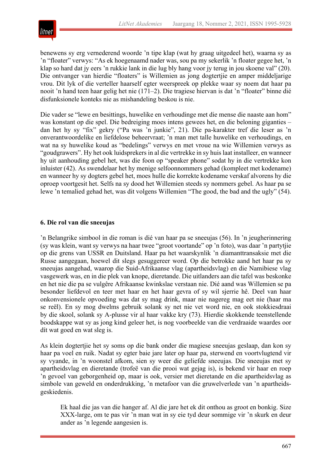

benewens sy erg vernederend woorde 'n tipe klap (wat hy graag uitgedeel het), waarna sy as 'n "floater" verwys: "As ek hoegenaamd nader was, sou pa my sekerlik 'n floater gegee het, 'n klap so hard dat jy eers 'n rukkie lank in die lug bly hang voor jy terug in jou skoene val" (20). Die ontvanger van hierdie "floaters" is Willemien as jong dogtertjie en amper middeljarige vrou. Dit lyk of die verteller haarself egter weerspreek op plekke waar sy noem dat haar pa nooit 'n hand teen haar gelig het nie (171–2). Die tragiese hiervan is dat 'n "floater" binne dié disfunksionele konteks nie as mishandeling beskou is nie.

Die vader se "lewe en besittings, huwelike en verhoudinge met die mense die naaste aan hom" was konstant op die spel. Die bedreiging moes intens gewees het, en die beloning giganties – dan het hy sy "fix" gekry ("Pa was 'n junkie", 21). Die pa-karakter tref die leser as 'n onverantwoordelike en liefdelose beheervraat; 'n man met talle huwelike en verhoudings, en wat na sy huwelike koud as "bedelings" verwys en met vroue na wie Willemien verwys as "goudgrawers". Hy het ook luidsprekers in al die vertrekke in sy huis laat installeer, en wanneer hy uit aanhouding gebel het, was die foon op "speaker phone" sodat hy in die vertrekke kon inluister (42). As swendelaar het hy menige selfoonnommers gehad (kompleet met kodename) en wanneer hy sy dogters gebel het, moes hulle die korrekte kodename verskaf alvorens hy die oproep voortgesit het. Selfs na sy dood het Willemien steeds sy nommers gebel. As haar pa se lewe 'n temalied gehad het, was dit volgens Willemien "The good, the bad and the ugly" (54).

### **6. Die rol van die sneeujas**

'n Belangrike simbool in die roman is dié van haar pa se sneeujas (56). In 'n jeugherinnering (sy was klein, want sy verwys na haar twee "groot voortande" op 'n foto), was daar 'n partytjie op die grens van USSR en Duitsland. Haar pa het waarskynlik 'n diamanttransaksie met die Russe aangegaan, hoewel dit slegs gesuggereer word. Op die betrokke aand het haar pa sy sneeujas aangehad, waarop die Suid-Afrikaanse vlag (apartheidsvlag) en die Namibiese vlag vasgewerk was, en in die plek van knope, dieretande. Die uitlanders aan die tafel was beskonke en het nie die pa se vulgêre Afrikaanse kwinkslae verstaan nie. Dié aand was Willemien se pa besonder liefdevol en teer met haar en het haar gevra of sy wil sjerrie hê. Deel van haar onkonvensionele opvoeding was dat sy mag drink, maar nie nagereg mag eet nie (haar ma se reël). En sy mog dwelms gebruik solank sy net nie vet word nie, en ook stokkiesdraai by die skool, solank sy A-plusse vir al haar vakke kry (73). Hierdie skokkende teenstellende boodskappe wat sy as jong kind geleer het, is nog voorbeelde van die verdraaide waardes oor dít wat goed en wat sleg is.

As klein dogtertjie het sy soms op die bank onder die magiese sneeujas geslaap, dan kon sy haar pa voel en ruik. Nadat sy egter baie jare later op haar pa, sterwend en voortvlugtend vir sy vyande, in 'n woonstel afkom, sien sy weer die geliefde sneeujas. Die sneeujas met sy apartheidsvlag en dieretande (trofeë van die prooi wat gejag is), is bekend vir haar en roep 'n gevoel van geborgenheid op, maar is ook, versier met dieretande en die apartheidsvlag as simbole van geweld en onderdrukking, 'n metafoor van die gruwelverlede van 'n apartheidsgeskiedenis.

Ek haal die jas van die hanger af. Al die jare het ek dit onthou as groot en bonkig. Size XXX-large, om te pas vir 'n man wat in sy eie tyd deur sommige vir 'n skurk en deur ander as 'n legende aangesien is.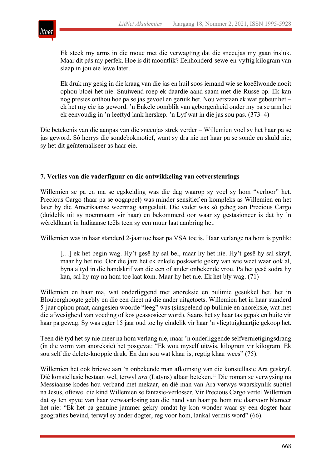

Ek steek my arms in die moue met die verwagting dat die sneeujas my gaan insluk. Maar dit pás my perfek. Hoe is dit moontlik? Eenhonderd-sewe-en-vyftig kilogram van slaap in jou eie lewe later.

Ek druk my gesig in die kraag van die jas en huil soos iemand wie se koeëlwonde nooit ophou bloei het nie. Snuiwend roep ek daardie aand saam met die Russe op. Ek kan nog presies onthou hoe pa se jas gevoel en geruik het. Nou verstaan ek wat gebeur het – ek het my eie jas geword. 'n Enkele oomblik van geborgenheid onder my pa se arm het ek eenvoudig in 'n leeftyd lank herskep. 'n Lyf wat in dié jas sou pas. (373–4)

Die betekenis van die aanpas van die sneeujas strek verder – Willemien voel sy het haar pa se jas geword. Só herrys die sondebokmotief, want sy dra nie net haar pa se sonde en skuld nie; sy het dit geïnternaliseer as haar eie.

#### **7. Verlies van die vaderfiguur en die ontwikkeling van eetversteurings**

Willemien se pa en ma se egskeiding was die dag waarop sy voel sy hom "verloor" het. Precious Cargo (haar pa se oogappel) was minder sensitief en kompleks as Willemien en het later by die Amerikaanse weermag aangesluit. Die vader was só geheg aan Precious Cargo (duidelik uit sy noemnaam vir haar) en bekommerd oor waar sy gestasioneer is dat hy 'n wêreldkaart in Indiaanse teëls teen sy een muur laat aanbring het.

Willemien was in haar standerd 2-jaar toe haar pa VSA toe is. Haar verlange na hom is pynlik:

[...] ek het begin wag. Hy't gesê hy sal bel, maar hy het nie. Hy't gesê hy sal skryf, maar hy het nie. Oor die jare het ek enkele poskaarte gekry van wie weet waar ook al, byna altyd in die handskrif van die een of ander onbekende vrou. Pa het gesê sodra hy kan, sal hy my na hom toe laat kom. Maar hy het nie. Ek het bly wag. (71)

Willemien en haar ma, wat onderliggend met anoreksie en bulimie gesukkel het, het in Blouberghoogte gebly en die een dieet ná die ander uitgetoets. Willemien het in haar standerd 5-jaar ophou praat, aangesien woorde "leeg" was (sinspelend op bulimie en anoreksie, wat met die afwesigheid van voeding of kos geassosieer word). Saans het sy haar tas gepak en buite vir haar pa gewag. Sy was egter 15 jaar oud toe hy eindelik vir haar 'n vliegtuigkaartjie gekoop het.

Teen dié tyd het sy nie meer na hom verlang nie, maar 'n onderliggende selfvernietigingsdrang (in die vorm van anoreksie) het posgevat: "Ek wou myself uitwis, kilogram vir kilogram. Ek sou self die delete-knoppie druk. En dan sou wat klaar is, regtig klaar wees" (75).

Willemien het ook briewe aan 'n onbekende man afkomstig van die konstellasie Ara geskryf. Dié konstellasie bestaan wel, terwyl *ara* (Latyns) altaar beteken.<sup>55</sup> Die roman se verwysing na Messiaanse kodes hou verband met mekaar, en dié man van Ara verwys waarskynlik subtiel na Jesus, oftewel die kind Willemien se fantasie-verlosser. Vir Precious Cargo vertel Willemien dat sy ten spyte van haar verwaarlosing aan die hand van haar pa hom nie daarvoor blameer het nie: "Ek het pa genuine jammer gekry omdat hy kon wonder waar sy een dogter haar geografies bevind, terwyl sy ander dogter, reg voor hom, lankal vermis word" (66).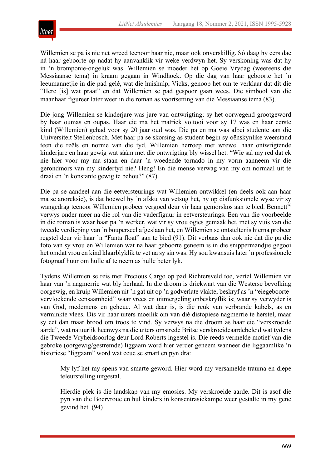

Willemien se pa is nie net wreed teenoor haar nie, maar ook onverskillig. Só daag hy eers dae ná haar geboorte op nadat hy aanvanklik vir weke verdwyn het. Sy verskoning was dat hy in 'n bromponie-ongeluk was. Willemien se moeder het op Goeie Vrydag (weereens die Messiaanse tema) in kraam gegaan in Windhoek. Op die dag van haar geboorte het 'n leeumannetjie in die pad gelê, wat die huishulp, Vicks, genoop het om te verklaar dat dit die "Here [is] wat praat" en dat Willemien se pad gespoor gaan wees. Die simbool van die maanhaar figureer later weer in die roman as voortsetting van die Messiaanse tema (83).

Die jong Willemien se kinderjare was jare van ontwrigting; sy het oorwegend grootgeword by haar oumas en oupas. Haar eie ma het matriek voltooi voor sy 17 was en haar eerste kind (Willemien) gehad voor sy 20 jaar oud was. Die pa en ma was albei studente aan die Universiteit Stellenbosch. Met haar pa se skorsing as student begin sy oënskynlike weerstand teen die reëls en norme van die tyd. Willemien herroep met wrewel haar ontwrigtende kinderjare en haar gewig wat sáám met die ontwrigting bly wissel het: "Wie sal my red dat ek nie hier voor my ma staan en daar 'n woedende tornado in my vorm aanneem vir die gerondmors van my kindertyd nie? Heng! En dié mense verwag van my om normaal uit te draai en 'n konstante gewig te behou?" (87).

Die pa se aandeel aan die eetversteurings wat Willemien ontwikkel (en deels ook aan haar ma se anoreksie), is dat hoewel hy 'n afsku van vetsug het, hy op disfunksionele wyse vir sy wangedrag teenoor Willemien probeer vergoed deur vir haar gemorskos aan te bied. Bennett<sup>56</sup> verwys onder meer na die rol van die vaderfiguur in eetversteurings. Een van die voorbeelde in die roman is waar haar pa 'n werker, wat vir sy vrou ogies gemaak het, met sy vuis van die tweede verdieping van 'n bouperseel afgeslaan het, en Willemien se ontsteltenis hierna probeer regstel deur vir haar 'n "Fanta float" aan te bied (91). Dit verbaas dan ook nie dat die pa die foto van sy vrou en Willemien wat na haar geboorte geneem is in die snippermandjie gegooi het omdat vrou en kind klaarblyklik te vet na sy sin was. Hy sou kwansuis later 'n professionele fotograaf huur om hulle af te neem as hulle beter lyk.

Tydens Willemien se reis met Precious Cargo op pad Richtersveld toe, vertel Willemien vir haar van 'n nagmerrie wat bly herhaal. In die droom is driekwart van die Westerse bevolking oorgewig, en kruip Willemien uit 'n gat uit op 'n godverlate vlakte, beskryf as 'n "eiegeboortevervloekende eensaamheid" waar vrees en uitmergeling onbeskryflik is; waar sy verwyder is van God, medemens en geheue. Al wat daar is, is die reuk van verbrande kabels, as en verminkte vlees. Dis vir haar uiters moeilik om van dié distopiese nagmerrie te herstel, maar sy eet dan maar brood om troos te vind. Sy verwys na die droom as haar eie "verskroeide aarde", wat natuurlik heenwys na die uiters omstrede Britse verskroeideaardebeleid wat tydens die Tweede Vryheidsoorlog deur Lord Roberts ingestel is. Die reeds vermelde motief van die gebroke (oorgewig/gestremde) liggaam word hier verder geneem wanneer die liggaamlike 'n historiese "liggaam" word wat eeue se smart en pyn dra:

My lyf het my spens van smarte geword. Hier word my versamelde trauma en diepe teleurstelling uitgestal.

Hierdie plek is die landskap van my emosies. My verskroeide aarde. Dit is asof die pyn van die Boervroue en hul kinders in konsentrasiekampe weer gestalte in my gene gevind het. (94)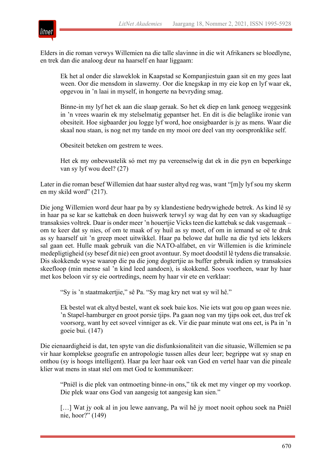

Elders in die roman verwys Willemien na die talle slavinne in die wit Afrikaners se bloedlyne, en trek dan die analoog deur na haarself en haar liggaam:

Ek het al onder die slaweklok in Kaapstad se Kompanjiestuin gaan sit en my gees laat ween. Oor die mensdom in slawerny. Oor die knegskap in my eie kop en lyf waar ek, opgevou in 'n laai in myself, in hongerte na bevryding smag.

Binne-in my lyf het ek aan die slaap geraak. So het ek diep en lank genoeg weggesink in 'n vrees waarin ek my stelselmatig gepantser het. En dit is die belaglike ironie van obesiteit. Hoe sigbaarder jou logge lyf word, hoe onsigbaarder is jy as mens. Waar die skaal nou staan, is nog net my tande en my mooi ore deel van my oorspronklike self.

Obesiteit beteken om gestrem te wees.

Het ek my onbewustelik só met my pa vereenselwig dat ek in die pyn en beperkinge van sy lyf wou deel? (27)

Later in die roman besef Willemien dat haar suster altyd reg was, want "[m]y lyf sou my skerm en my skild word" (217).

Die jong Willemien word deur haar pa by sy klandestiene bedrywighede betrek. As kind lê sy in haar pa se kar se kattebak en doen huiswerk terwyl sy wag dat hy een van sy skaduagtige transaksies voltrek. Daar is onder meer 'n houertjie Vicks teen die kattebak se dak vasgemaak – om te keer dat sy nies, of om te maak of sy huil as sy moet, of om in iemand se oë te druk as sy haarself uit 'n greep moet uitwikkel. Haar pa belowe dat hulle na die tyd iets lekkers sal gaan eet. Hulle maak gebruik van die NATO-alfabet, en vir Willemien is die kriminele medepligtigheid (sy besef dit nie) een groot avontuur. Sy moet doodstil lê tydens die transaksie. Dis skokkende wyse waarop die pa die jong dogtertjie as buffer gebruik indien sy transaksies skeefloop (min mense sal 'n kind leed aandoen), is skokkend. Soos voorheen, waar hy haar met kos beloon vir sy eie oortredings, neem hy haar vir ete en verklaar:

"Sy is 'n staatmakertjie," sê Pa. "Sy mag kry net wat sy wil hê."

Ek bestel wat ek altyd bestel, want ek soek baie kos. Nie iets wat gou op gaan wees nie. 'n Stapel-hamburger en groot porsie tjips. Pa gaan nog van my tjips ook eet, dus tref ek voorsorg, want hy eet soveel vinniger as ek. Vir die paar minute wat ons eet, is Pa in 'n goeie bui. (147)

Die eienaardigheid is dat, ten spyte van die disfunksionaliteit van die situasie, Willemien se pa vir haar komplekse geografie en antropologie tussen alles deur leer; begrippe wat sy snap en onthou (sy is hoogs intelligent). Haar pa leer haar ook van God en vertel haar van die pineale klier wat mens in staat stel om met God te kommunikeer:

"Pniël is die plek van ontmoeting binne-in ons," tik ek met my vinger op my voorkop. Die plek waar ons God van aangesig tot aangesig kan sien."

[...] Wat jy ook al in jou lewe aanvang, Pa wil hê jy moet nooit ophou soek na Pniël nie, hoor?" (149)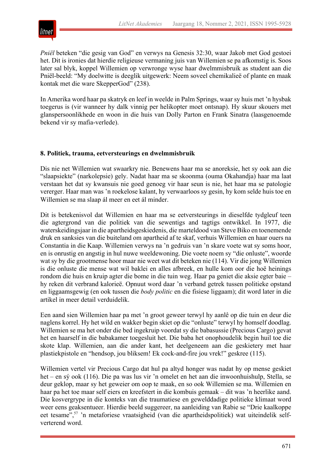

*Pniël* beteken "die gesig van God" en verwys na Genesis 32:30, waar Jakob met God gestoei het. Dit is ironies dat hierdie religieuse vermaning juis van Willemien se pa afkomstig is. Soos later sal blyk, koppel Willemien op verwronge wyse haar dwelmmisbruik as student aan die Pniël-beeld: "My doelwitte is deeglik uitgewerk: Neem soveel chemikalieë of plante en maak kontak met die ware SkepperGod" (238).

In Amerika word haar pa skatryk en leef in weelde in Palm Springs, waar sy huis met 'n hysbak toegerus is (vir wanneer hy dalk vinnig per helikopter moet ontsnap). Hy skuur skouers met glanspersoonlikhede en woon in die huis van Dolly Parton en Frank Sinatra (laasgenoemde bekend vir sy mafia-verlede).

#### **8. Politiek, trauma, eetversteurings en dwelmmisbruik**

Dis nie net Willemien wat swaarkry nie. Benewens haar ma se anoreksie, het sy ook aan die "slaapsiekte" (narkolepsie) gely. Nadat haar ma se skoonma (ouma Okahandja) haar ma laat verstaan het dat sy kwansuis nie goed genoeg vir haar seun is nie, het haar ma se patologie vererger. Haar man was 'n roekelose kalant, hy verwaarloos sy gesin, hy kom selde huis toe en Willemien se ma slaap ál meer en eet ál minder.

Dit is betekenisvol dat Willemien en haar ma se eetversteurings in dieselfde tydgleuf teen die agtergrond van die politiek van die sewentigs and tagtigs ontwikkel. In 1977, die waterskeidingsjaar in die apartheidsgeskiedenis, die marteldood van Steve Biko en toenemende druk en sanksies van die buiteland om apartheid af te skaf, verhuis Willemien en haar ouers na Constantia in die Kaap. Willemien verwys na 'n gedruis van 'n skare voete wat sy soms hoor, en is onrustig en angstig in hul nuwe weeldewoning. Die voete noem sy "die onluste", woorde wat sy by die grootmense hoor maar nie weet wat dit beteken nie (114). Vir die jong Willemien is die onluste die mense wat wil baklei en alles afbreek, en hulle kom oor die hoë heinings rondom die huis en kruip agter die bome in die tuin weg. Haar pa geniet die aksie egter baie – hy reken dit verbrand kalorieë. Opnuut word daar 'n verband getrek tussen politieke opstand en liggaamsgewig (en ook tussen die *body politic* en die fisiese liggaam); dit word later in die artikel in meer detail verduidelik.

Een aand sien Willemien haar pa met 'n groot geweer terwyl hy aanlê op die tuin en deur die naglens korrel. Hy het wild en wakker begin skiet op die "onluste" terwyl hy homself doodlag. Willemien se ma het onder die bed ingekruip voordat sy die babasussie (Precious Cargo) gevat het en haarself in die babakamer toegesluit het. Die baba het onophoudelik begin huil toe die skote klap. Willemien, aan die ander kant, het deelgeneem aan die geskietery met haar plastiekpistole en "hendsop, jou bliksem! Ek cock-and-fire jou vrek!" geskree (115).

Willemien vertel vir Precious Cargo dat hul pa altyd honger was nadat hy op mense geskiet het – en sý ook (116). Die pa was lus vir 'n omelet en het aan die inwoonhuishulp, Stella, se deur geklop, maar sy het geweier om oop te maak, en so ook Willemien se ma. Willemien en haar pa het toe maar self eiers en kreefstert in die kombuis gemaak – dit was 'n heerlike aand. Die kosvergrype in die konteks van die traumatiese en gewelddadige politieke klimaat word weer eens geaksentueer. Hierdie beeld suggereer, na aanleiding van Rabie se "Drie kaalkoppe eet tesame",<sup>57</sup> 'n metaforiese vraatsigheid (van die apartheidspolitiek) wat uiteindelik selfverterend word.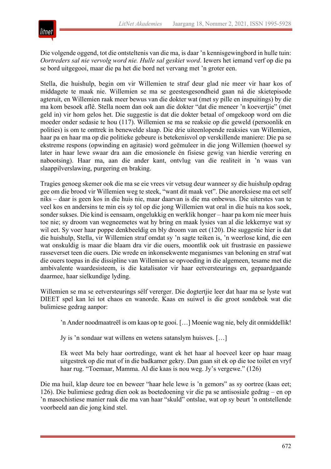

Die volgende oggend, tot die ontsteltenis van die ma, is daar 'n kennisgewingbord in hulle tuin: *Oortreders sal nie vervolg word nie. Hulle sal geskiet word*. Iewers het iemand verf op die pa se bord uitgegooi, maar die pa het die bord net vervang met 'n groter een.

Stella, die huishulp, begin om vir Willemien te straf deur glad nie meer vir haar kos of middagete te maak nie. Willemien se ma se geestesgesondheid gaan ná die skietepisode agteruit, en Willemien raak meer bewus van die dokter wat (met sy pille en inspuitings) by die ma kom besoek aflê. Stella noem dan ook aan die dokter "dat die meneer 'n koevertjie" (met geld in) vir hom gelos het. Die suggestie is dat die dokter betaal of omgekoop word om die moeder onder sedasie te hou (117). Willemien se ma se reaksie op die geweld (persoonlik en polities) is om te onttrek in benewelde slaap. Die drie uiteenlopende reaksies van Willemien, haar pa en haar ma op die politieke gebeure is betekenisvol op verskillende maniere: Die pa se ekstreme respons (opwinding en agitasie) word geëmuleer in die jong Willemien (hoewel sy later in haar lewe swaar dra aan die emosionele én fisiese gewig van hierdie verering en nabootsing). Haar ma, aan die ander kant, ontvlug van die realiteit in 'n waas van slaappilverslawing, purgering en braking.

Tragies genoeg skemer ook die ma se eie vrees vir vetsug deur wanneer sy die huishulp opdrag gee om die brood vir Willemien weg te steek, "want dit maak vet". Die anoreksiese ma eet self niks – daar is geen kos in die huis nie, maar daarvan is die ma onbewus. Die uiterstes van te veel kos en andersins te min eis sy tol op die jong Willemien wat oral in die huis na kos soek, sonder sukses. Die kind is eensaam, ongelukkig en werklik honger – haar pa kom nie meer huis toe nie; sy droom van wegneemetes wat hy bring en maak lysies van al die lekkernye wat sy wil eet. Sy voer haar poppe denkbeeldig en bly droom van eet (120). Die suggestie hier is dat die huishulp, Stella, vir Willemien straf omdat sy 'n sagte teiken is, 'n weerlose kind, die een wat onskuldig is maar die blaam dra vir die ouers, moontlik ook uit frustrasie en passiewe rasseverset teen die ouers. Die wrede en inkonsekwente meganismes van beloning en straf wat die ouers toepas in die dissipline van Willemien se opvoeding in die algemeen, tesame met die ambivalente waardesisteem, is die katalisator vir haar eetversteurings en, gepaardgaande daarmee, haar sielkundige lyding.

Willemien se ma se eetversteurings sélf vererger. Die dogtertjie leer dat haar ma se lyste wat DIEET spel kan lei tot chaos en wanorde. Kaas en suiwel is die groot sondebok wat die bulimiese gedrag aanpor:

'n Ander noodmaatreël is om kaas op te gooi. […] Moenie wag nie, bely dit onmiddellik!

Jy is 'n sondaar wat willens en wetens satanslym huisves. […]

Ek weet Ma bely haar oortredinge, want ek het haar al hoeveel keer op haar maag uitgestrek op die mat of in die badkamer gekry. Dan gaan sit ek op die toe toilet en vryf haar rug. "Toemaar, Mamma. Al die kaas is nou weg. Jy's vergewe." (126)

Die ma huil, klap deure toe en beweer "haar hele lewe is 'n gemors" as sy oortree (kaas eet; 126). Die bulimiese gedrag dien ook as boetedoening vir die pa se antisosiale gedrag – en op 'n masochistiese manier raak die ma van haar "skuld" ontslae, wat op sy beurt 'n ontstellende voorbeeld aan die jong kind stel.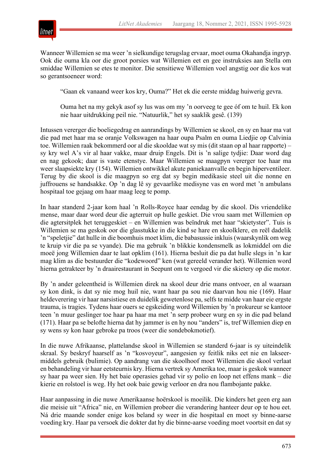

Wanneer Willemien se ma weer 'n sielkundige terugslag ervaar, moet ouma Okahandja ingryp. Ook die ouma kla oor die groot porsies wat Willemien eet en gee instruksies aan Stella om smiddae Willemien se etes te monitor. Die sensitiewe Willemien voel angstig oor die kos wat so gerantsoeneer word:

"Gaan ek vanaand weer kos kry, Ouma?" Het ek die eerste middag huiwerig gevra.

Ouma het na my gekyk asof sy lus was om my 'n oorveeg te gee óf om te huil. Ek kon nie haar uitdrukking peil nie. "Natuurlik," het sy saaklik gesê. (139)

Intussen vererger die boeliegedrag en aanrandings by Willemien se skool, en sy en haar ma vat die pad met haar ma se oranje Volkswagen na haar oupa Psalm en ouma Liedjie op Calvinia toe. Willemien raak bekommerd oor al die skooldae wat sy mis (dit staan op al haar rapporte) – sy kry wel A's vir al haar vakke, maar druip Engels. Dit is 'n salige tydjie: Daar word dag en nag gekook; daar is vaste etenstye. Maar Willemien se maagpyn vererger toe haar ma weer slaapsiekte kry (154). Willemien ontwikkel akute paniekaanvalle en begin hiperventileer. Terug by die skool is die maagpyn so erg dat sy begin medikasie steel uit die nonne en juffrouens se handsakke. Op 'n dag lê sy gevaarlike medisyne vas en word met 'n ambulans hospitaal toe gejaag om haar maag leeg te pomp.

In haar standerd 2-jaar kom haal 'n Rolls-Royce haar eendag by die skool. Dis vriendelike mense, maar daar word deur die agterruit op hulle geskiet. Die vrou saam met Willemien op die agtersitplek het teruggeskiet – en Willemien was beïndruk met haar "skietyster". Tuis is Willemien se ma geskok oor die glasstukke in die kind se hare en skoolklere, en reël dadelik 'n "speletjie" dat hulle in die boomhuis moet klim, die babasussie inkluis (waarskynlik om weg te kruip vir die pa se vyande). Die ma gebruik 'n blikkie kondensmelk as lokmiddel om die moeë jong Willemien daar te laat opklim (161). Hierna besluit die pa dat hulle slegs in 'n kar mag klim as die bestuurder die "kodewoord" ken (wat gereeld verander het). Willemien word hierna getrakteer by 'n draairestaurant in Seepunt om te vergoed vir die skietery op die motor.

By 'n ander geleentheid is Willemien direk na skool deur drie mans ontvoer, en al waaraan sy kon dink, is dat sy nie mog huil nie, want haar pa sou nie daarvan hou nie (169). Haar heldeverering vir haar narsistiese en duidelik gewetenlose pa, selfs te midde van haar eie ergste trauma, is tragies. Tydens haar ouers se egskeiding word Willemien by 'n prokureur se kantoor teen 'n muur geslinger toe haar pa haar ma met 'n serp probeer wurg en sy in die pad beland (171). Haar pa se belofte hierna dat hy jammer is en hy nou "anders" is, tref Willemien diep en sy wens sy kon haar gebroke pa troos (weer die sondebokmotief).

In die nuwe Afrikaanse, plattelandse skool in Willemien se standerd 6-jaar is sy uiteindelik skraal. Sy beskryf haarself as 'n "kosvoyeur", aangesien sy feitlik niks eet nie en lakseermiddels gebruik (bulimie). Op aandrang van die skoolhoof moet Willemien die skool verlaat en behandeling vir haar eetsteurnis kry. Hierna vertrek sy Amerika toe, maar is geskok wanneer sy haar pa weer sien. Hy het baie operasies gehad vir sy polio en loop net effens mank – die kierie en rolstoel is weg. Hy het ook baie gewig verloor en dra nou flambojante pakke.

Haar aanpassing in die nuwe Amerikaanse hoërskool is moeilik. Die kinders het geen erg aan die meisie uit "Africa" nie, en Willemien probeer die verandering hanteer deur op te hou eet. Ná drie maande sonder enige kos beland sy weer in die hospitaal en moet sy binne-aarse voeding kry. Haar pa versoek die dokter dat hy die binne-aarse voeding moet voortsit en dat sy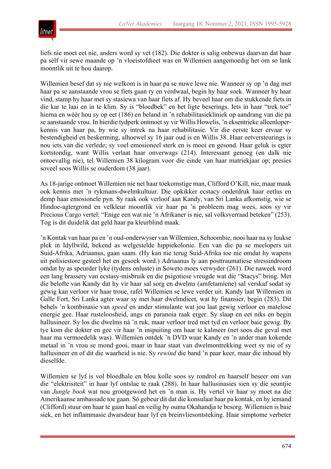

liefs nie moet eet nie, anders word sy vet (182). Die dokter is salig onbewus daarvan dat haar pa sélf vir sewe maande op 'n vloeistofdieet was en Willemien aangemoedig het om so lank moontlik uit te hou daarop.

Willemien besef dat sy nie welkom is in haar pa se nuwe lewe nie. Wanneer sy op 'n dag met haar pa se aanstaande vrou se fiets gaan ry en verdwaal, begin hy haar soek. Wanneer hy haar vind, stamp hy haar met sy stasiewa van haar fiets af. Hy beveel haar om die stukkende fiets in die kar te laai en in te klim. Sy is "bloedbek" en het ligte beserings. Iets in haar "trek toe" hierna en wéér hou sy op eet (186) en beland in 'n rehabilitasiekliniek op aandrang van die pa se aanstaande vrou. In hierdie tydperk ontmoet sy vir Willis Howelis, 'n eksentrieke alleenloperkennis van haar pa, by wie sy intrek na haar rehabilitasie. Vir die eerste keer ervaar sy bestendigheid en beskerming, alhoewel sy 16 jaar oud is en Willis 38. Haar eetversteurings is nou iets van die verlede; sy voel emosioneel sterk en is mooi en gesond. Haar geluk is egter kortstondig, want Willis verlaat haar onverwags (214). Interessant genoeg (en dalk nie ontoevallig nie), tel Willemien 38 kilogram voor die einde van haar matriekjaar op; presies soveel soos Willis se ouderdom (38 jaar).

As 18-jarige ontmoet Willemien nie net haar toekomstige man, Clifford O'Kill, nie, maar maak ook kennis met 'n rykmans-dwelmkultuur. Die opkikker ecstacy onderdruk haar eetlus en demp haar emosionele pyn. Sy raak ook verloof aan Kandy, van Sri Lanka afkomstig, wie se Hindoe-agtergrond en velkleur moontlik vir haar pa 'n probleem mag wees, soos sy vir Precious Cargo vertel: "Enige een wat nie 'n Afrikaner is nie, sal volksverraad beteken" (253). Tog is dit duidelik dat geld haar pa kleurblind maak.

'n Kontak van haar pa en 'n oud-onderwyser van Willemien, Schoombie, nooi haar na sy luukse plek in Idyllwild, bekend as welgestelde hippiekolonie. Een van die pa se meelopers uit Suid-Afrika, Adriaanus, gaan saam. (Hy kan nie terug Suid-Afrika toe nie omdat hy wapens uit polisiestore gesteel het en gesoek word.) Adriaanus ly aan posttraumatiese stressindroom omdat hy as speurder lyke (tydens onluste) in Soweto moes verwyder (261). Die naweek word een lang brassery van ecstasy-misbruik en die psigotiese vreugde wat die "Stacys" bring. Met die belofte van Kandy dat hy vir haar sal sorg en dwelms (amfetamiene) sal verskaf sodat sy gewig kan verloor vir haar troue, rafel Willemien se lewe verder uit. Kandy laat Willemien in Galle Fort, Sri Lanka agter waar sy met haar dwelmdieet, wat hy finansier, begin (283). Dit behels 'n kombinasie van *speed* en ander stimulante wat jou laat gewig verloor en matelose energie gee. Haar rusteloosheid, angs en paranoia raak erger. Sy slaap en eet niks en begin hallusineer. Sy los die dwelms ná 'n ruk, maar verloor tred met tyd en verloor baie gewig. By tye kom die dokter en gee vir haar 'n inspuiting om haar te kalmeer (net soos die geval met haar ma vermoedelik was). Willemien ontdek 'n DVD waar Kandy en 'n ander man kokende metaal in 'n vrou se mond gooi, maar in haar staat van dwelmontrekking weet sy nie of sy hallusineer en of dit die waarheid is nie. Sy *rewind* die band 'n paar keer, maar die inhoud bly dieselfde.

Willemien se lyf is vol bloedhale en blou kolle soos sy rondrol en haarself beseer om van die "elektrisiteit" in haar lyf ontslae te raak (288). In haar hallusinasies sien sy die seuntjie van *Jungle book* wat nou grootgeword het en 'n man is. Hy vertel vir haar sy moet na die Amerikaanse ambassade toe gaan. Só gebeur dit dat die konsulaat haar pa kontak, en hy iemand (Clifford) stuur om haar te gaan haal en veilig by ouma Okahandja te besorg. Willemien is baie siek, en het inflammasie dwarsdeur haar lyf en breinvliesontsteking. Haar simptome verbeter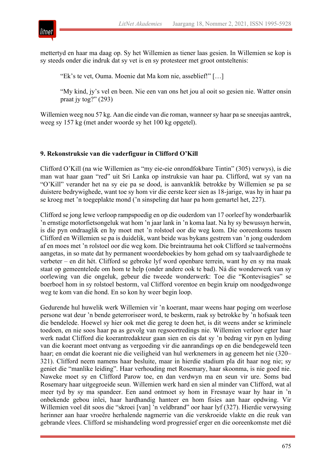



mettertyd en haar ma daag op. Sy het Willemien as tiener laas gesien. In Willemien se kop is sy steeds onder die indruk dat sy vet is en sy protesteer met groot ontsteltenis:

"Ek's te vet, Ouma. Moenie dat Ma kom nie, asseblief!" […]

"My kind, jy's vel en been. Nie een van ons het jou al ooit so gesien nie. Watter onsin praat jy tog?" (293)

Willemien weeg nou 57 kg. Aan die einde van die roman, wanneer sy haar pa se sneeujas aantrek, weeg sy 157 kg (met ander woorde sy het 100 kg opgetel).

#### **9. Rekonstruksie van die vaderfiguur in Clifford O'Kill**

Clifford O'Kill (na wie Willemien as "my eie-eie onrondfokbare Tintin" (305) verwys), is die man wat haar gaan "red" uit Sri Lanka op instruksie van haar pa. Clifford, wat sy van na "O'Kill" verander het na sy eie pa se dood, is aanvanklik betrokke by Willemien se pa se duistere bedrywighede, want toe sy hom vir die eerste keer sien as 18-jarige, was hy in haar pa se kroeg met 'n toegeplakte mond ('n sinspeling dat haar pa hom gemartel het, 227).

Clifford se jong lewe verloop rampspoedig en op die ouderdom van 17 oorleef hy wonderbaarlik 'n ernstige motorfietsongeluk wat hom 'n jaar lank in 'n koma laat. Na hy sy bewussyn herwin, is die pyn ondraaglik en hy moet met 'n rolstoel oor die weg kom. Die ooreenkoms tussen Clifford en Willemien se pa is duidelik, want beide was bykans gestrem van 'n jong ouderdom af en moes met 'n rolstoel oor die weg kom. Die breintrauma het ook Clifford se taalvermoëns aangetas, in so mate dat hy permanent woordeboekies by hom gehad om sy taalvaardighede te verbeter – en dit hét. Clifford se gebroke lyf word openbare terrein, want hy en sy ma maak staat op gemeentelede om hom te help (onder andere ook te bad). Ná die wonderwerk van sy oorlewing van die ongeluk, gebeur die tweede wonderwerk: Toe die "Kontevisagies" se boerboel hom in sy rolstoel bestorm, val Clifford vorentoe en begin kruip om noodgedwonge weg te kom van die hond. En so kon hy weer begin loop.

Gedurende hul huwelik werk Willemien vir 'n koerant, maar weens haar poging om weerlose persone wat deur 'n bende geterroriseer word, te beskerm, raak sy betrokke by 'n hofsaak teen die bendelede. Hoewel sy hier ook met die gereg te doen het, is dit weens ander se kriminele toedoen, en nie soos haar pa as gevolg van regsoortredings nie. Willemien verloor egter haar werk nadat Clifford die koerantredakteur gaan sien en eis dat sy 'n bedrag vir pyn en lyding van die koerant moet ontvang as vergoeding vir die aanrandings op en die bendegeweld teen haar; en omdat die koerant nie die veiligheid van hul werknemers in ag geneem het nie (320– 321). Clifford neem namens haar besluite, maar in hierdie stadium pla dit haar nog nie; sy geniet die "manlike leiding". Haar verhouding met Rosemary, haar skoonma, is nie goed nie. Naweke moet sy en Clifford Parow toe, en dan verdwyn ma en seun vir ure. Soms bad Rosemary haar uitgegroeide seun. Willemien werk hard en sien al minder van Clifford, wat al meer tyd by sy ma spandeer. Een aand ontmoet sy hom in Fresnaye waar hy haar in 'n onbekende gebou inlei, haar hardhandig hanteer en hom fisies aan haar opdwing. Vir Willemien voel dit soos die "skroei [van] 'n veldbrand" oor haar lyf (327). Hierdie verwysing herinner aan haar vroeëre herhalende nagmerrie van die verskroeide vlakte en die reuk van gebrande vlees. Clifford se mishandeling word progressief erger en die ooreenkomste met dié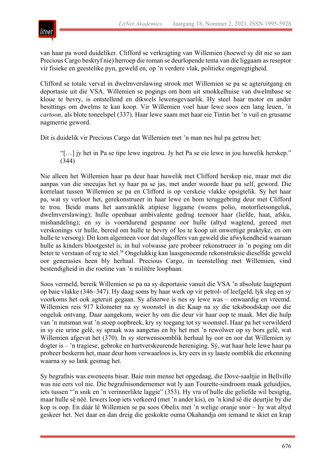

van haar pa word duideliker. Clifford se verkragting van Willemien (hoewel sy dit nie so aan Precious Cargo beskryf nie) herroep die roman se deurlopende tema van die liggaam as reseptor vir fisieke en geestelike pyn, geweld en, op 'n verdere vlak, politieke ongeregtigheid.

Clifford se totale verval in dwelmverslawing strook met Willemien se pa se agteruitgang en deportasie uit die VSA. Willemien se pogings om hom uit smokkelhuise van dwelmbase se kloue te bevry, is ontstellend en dikwels lewensgevaarlik. Hy steel haar motor en ander besittings om dwelms te kan koop. Vir Willemien voel haar lewe soos een lang leuen, 'n *cartoon*, als blote toneelspel (337). Haar lewe saam met haar eie Tintin het 'n vuil en grusame nagmerrie geword.

Dit is duidelik vir Precious Cargo dat Willemien met 'n man nes hul pa getrou het:

"[…] jy het in Pa se tipe lewe ingetrou. Jy het Pa se eie lewe in jou huwelik herskep." (344)

Nie alleen het Willemien haar pa deur haar huwelik met Clifford herskep nie, maar met die aanpas van die sneeujas het sy haar pa se jas, met ander woorde haar pa self, geword. Die korrelaat tussen Willemien se pa en Clifford is op verskeie vlakke opsigtelik. Sy het haar pa, wat sy verloor het, gerekonstrueer in haar lewe en hom teruggebring deur met Clifford te trou. Beide mans het aanvanklik atipiese liggame (weens polio, motorfietsongeluk, dwelmverslawing); hulle openbaar ambivalente gedrag teenoor haar (liefde, haat, afsku, mishandeling); en sy is voortdurend gespanne oor hulle (altyd wagtend, gereed met verskonings vir hulle, bereid om hulle te bevry of los te koop uit onwettige praktyke, en om hulle te versorg). Dit kom algemeen voor dat slagoffers van geweld die afwykendheid waaraan hulle as kinders blootgestel is, in hul volwasse jare probeer rekonstrueer in 'n poging om dit beter te verstaan of reg te stel.58 Ongelukkig kan laasgenoemde rekonstruksie dieselfde geweld oor generasies heen bly herhaal. Precious Cargo, in teenstelling met Willemien, vind bestendigheid in die roetine van 'n militêre loopbaan.

Soos vermeld, bereik Willemien se pa na sy deportasie vanuit die VSA 'n absolute laagtepunt op baie vlakke (346–347). Hy daag soms by haar werk op vir petrol- of leefgeld, lyk sleg en sy voorkoms het ook agteruit gegaan. Sy afsterwe is nes sy lewe was – onwaardig en vreemd. Willemien reis 917 kilometer na sy woonstel in die Kaap na sy die teksboodskap oor die ongeluk ontvang. Daar aangekom, weier hy om die deur vir haar oop te maak. Met die hulp van 'n nutsman wat 'n stoep oopbreek, kry sy toegang tot sy woonstel. Haar pa het verwilderd in sy eie urine gelê, sy spraak was aangetas en hy het met 'n rewolwer op sy bors gelê, wat Willemien afgevat het (370). In sy sterwensoomblik herhaal hy oor en oor dat Willemien sy dogter is – 'n tragiese, gebroke en hartverskeurende hereniging. Sý, wat haar hele lewe haar pa probeer beskerm het, maar deur hom verwaarloos is, kry eers in sy laaste oomblik die erkenning waarna sy so lank gesmag het.

Sy begrafnis was eweneens bisar. Baie min mense het opgedaag, die Dove-saaltjie in Bellville was nie eers vol nie. Die begrafnisondernemer wat ly aan Tourette-sindroom maak geluidjies, iets tussen "'n snik en 'n verinnerlikte laggie" (353). Hy vra of hulle die geliefde wil besigtig, maar hulle sê néé. Iewers loop iets verkeerd (met 'n ander kis), en 'n kind sê die deurtjie by die kop is oop. En dáár lê Willemien se pa soos Obelix met 'n welige oranje snor – hy wat altyd geskeer het. Net daar en dan dreig die geskokte ouma Okahandja om iemand te skiet en krap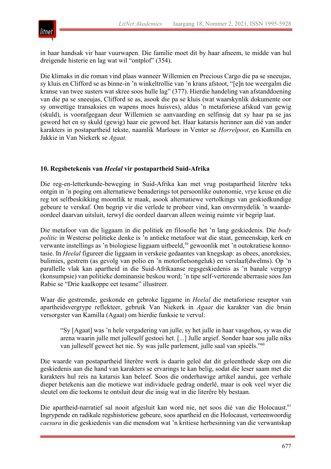

in haar handsak vir haar vuurwapen. Die familie moet dit by haar afneem, te midde van hul dreigende histerie en lag wat wil "ontplof" (354).

Die klimaks in die roman vind plaas wanneer Willemien en Precious Cargo die pa se sneeujas, sy kluis en Clifford se as binne-in 'n winkeltrollie van 'n krans afstoot, "[e]n toe weergalm die kranse van twee susters wat skree soos hulle lag" (377). Hierdie handeling van afstanddoening van die pa se sneeujas, Clifford se as, asook die pa se kluis (wat waarskynlik dokumente oor sy onwettige transaksies en wapens moes huisves), aldus 'n metaforiese afskud van gewig (skuld), is voorafgegaan deur Willemien se aanvaarding en selfinsig dat sy haar pa se jas geword het en sy skuld (gewig) haar eie geword het. Haar katarsis herinner aan dié van ander karakters in postapartheid tekste, naamlik Marlouw in Venter se *Horrelpoot*, en Kamilla en Jakkie in Van Niekerk se *Agaat*.

### **10. Regsbetekenis van** *Heelal* **vir postapartheid Suid-Afrika**

Die reg-en-letterkunde-beweging in Suid-Afrika kan met vrug postapartheid literêre teks ontgin in 'n poging om alternatiewe benaderings tot persoonlike outonomie, vrye keuse en die reg tot selfbeskikking moontlik te maak, asook alternatiewe vertolkings van geskiedkundige gebeure te verskaf. Om begrip vir die verlede te probeer vind, kan onvermydelik 'n waardeoordeel daarvan uitsluit, terwyl die oordeel daarvan alleen weinig ruimte vir begrip laat.

Die metafoor van die liggaam in die politiek en filosofie het 'n lang geskiedenis. Die *body politic* in Westerse politieke denke is 'n antieke metafoor wat die staat, gemeenskap, kerk en verwante instellings as 'n biologiese liggaam uitbeeld,<sup>59</sup> gewoonlik met 'n outokratiese konnotasie. In *Heelal* figureer die liggaam in verskeie gedaantes van knegskap: as obees, anoreksies, bulimies, gestrem (as gevolg van polio en 'n motorfietsongeluk) en verslaaf(dwelms). Op 'n parallelle vlak kan apartheid in die Suid-Afrikaanse regsgeskiedenis as 'n banale vergryp (konsumpsie) van politieke dominansie beskou word; 'n tipe self-verterende aberrasie soos Jan Rabie se "Drie kaalkoppe eet tesame" illustreer.

Waar die gestremde, geskonde en gebroke liggame in *Heelal* die metaforiese reseptor van apartheidsvergrype reflekteer, gebruik Van Niekerk in *Agaat* die karakter van die bruin versorgster van Kamilla (Agaat) om hierdie funksie te vervul:

"Sy [Agaat] was 'n hele vergadering van julle, sy het julle in haar vasgehou, sy was die arena waarin julle met julleself gestoei het. [...] Julle argief. Sonder haar sou julle niks van julleself geweet het nie. Sy was julle parlement, julle saal van spieëls."<sup>60</sup>

Die waarde van postapartheid literêre werk is daarin geleë dat dit geleenthede skep om die geskiedenis aan die hand van karakters se ervarings te kan belig, sodat die leser saam met die karakters hul reis na katarsis kan beleef. Soos die onderhawige artikel aandui, gee verhale dieper betekenis aan die motiewe wat individuele gedrag onderlê, maar is ook veel wyer die sleutel om die toekoms te ontsluit deur die insig wat in die literêre bly bestaan.

Die apartheid-narratief sal nooit afgesluit kan word nie, net soos dié van die Holocaust.<sup>61</sup> Ingrypende en radikale regshistoriese gebeure, soos apartheid en die Holocaust, verteenwoordig *caesura* in die geskiedenis van die mensdom wat 'n kritiese herbesinning van die verwantskap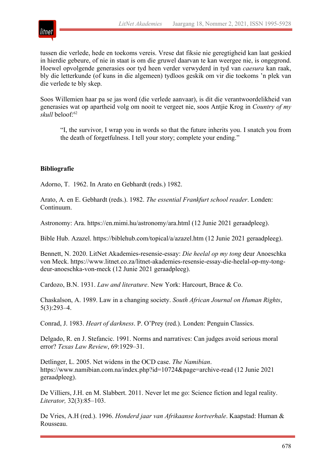

tussen die verlede, hede en toekoms vereis. Vrese dat fiksie nie geregtigheid kan laat geskied in hierdie gebeure, of nie in staat is om die gruwel daarvan te kan weergee nie, is ongegrond. Hoewel opvolgende generasies oor tyd heen verder verwyderd in tyd van *caesura* kan raak, bly die letterkunde (of kuns in die algemeen) tydloos geskik om vir die toekoms 'n plek van die verlede te bly skep.

Soos Willemien haar pa se jas word (die verlede aanvaar), is dit die verantwoordelikheid van generasies wat op apartheid volg om nooit te vergeet nie, soos Antjie Krog in *Country of my skull* beloof:62

"I, the survivor, I wrap you in words so that the future inherits you. I snatch you from the death of forgetfulness. I tell your story; complete your ending."

### **Bibliografie**

Adorno, T. 1962. In Arato en Gebhardt (reds.) 1982.

Arato, A. en E. Gebhardt (reds.). 1982. *The essential Frankfurt school reader*. Londen: Continuum.

Astronomy: Ara. https://en.mimi.hu/astronomy/ara.html (12 Junie 2021 geraadpleeg).

Bible Hub. Azazel. https://biblehub.com/topical/a/azazel.htm (12 Junie 2021 geraadpleeg).

Bennett, N. 2020. LitNet Akademies-resensie-essay: *Die heelal op my tong* deur Anoeschka von Meck. https://www.litnet.co.za/litnet-akademies-resensie-essay-die-heelal-op-my-tongdeur-anoeschka-von-meck (12 Junie 2021 geraadpleeg).

Cardozo, B.N. 1931. *Law and literature*. New York: Harcourt, Brace & Co.

Chaskalson, A. 1989. Law in a changing society. *South African Journal on Human Rights*, 5(3):293–4.

Conrad, J. 1983. *Heart of darkness*. P. O'Prey (red.). Londen: Penguin Classics.

Delgado, R. en J. Stefancic. 1991. Norms and narratives: Can judges avoid serious moral error? *Texas Law Review*, 69:1929–31.

Detlinger, L. 2005. Net widens in the OCD case. *The Namibian*. https://www.namibian.com.na/index.php?id=10724&page=archive-read (12 Junie 2021 geraadpleeg).

De Villiers, J.H. en M. Slabbert. 2011. Never let me go: Science fiction and legal reality. *Literator,* 32(3):85–103.

De Vries, A.H (red.). 1996. *Honderd jaar van Afrikaanse kortverhale*. Kaapstad: Human & Rousseau.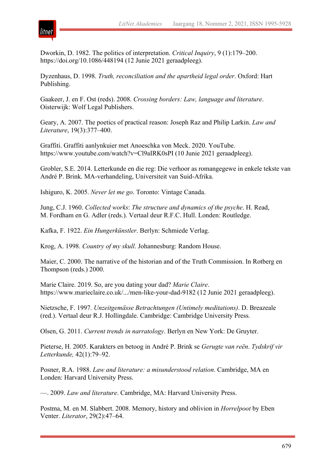

Dworkin, D. 1982. The politics of interpretation. *Critical Inquiry*, 9 (1):179–200. https://doi.org/10.1086/448194 (12 Junie 2021 geraadpleeg).

Dyzenhaus, D. 1998. *Truth, reconciliation and the apartheid legal order*. Oxford: Hart Publishing.

Gaakeer, J. en F. Ost (reds). 2008. *Crossing borders: Law, language and literature*. Oisterwijk: Wolf Legal Publishers.

Geary, A. 2007. The poetics of practical reason: Joseph Raz and Philip Larkin. *Law and Literature*, 19(3):377–400.

Graffiti. Graffiti aanlynkuier met Anoeschka von Meck. 2020. YouTube. https://www.youtube.com/watch?v=Cl9aIRK0sPI (10 Junie 2021 geraadpleeg).

Grobler, S.E. 2014. Letterkunde en die reg: Die verhoor as romangegewe in enkele tekste van André P. Brink. MA-verhandeling, Universiteit van Suid-Afrika.

Ishiguro, K. 2005. *Never let me go*. Toronto: Vintage Canada.

Jung, C.J. 1960. *Collected works*: *The structure and dynamics of the psyche*. H. Read, M. Fordham en G. Adler (reds.). Vertaal deur R.F.C. Hull. Londen: Routledge.

Kafka, F. 1922. *Ein Hungerkünstler*. Berlyn: Schmiede Verlag.

Krog, A. 1998. *Country of my skull*. Johannesburg: Random House.

Maier, C. 2000. The narrative of the historian and of the Truth Commission. In Rotberg en Thompson (reds.) 2000.

Marie Claire. 2019. So, are you dating your dad? *Marie Claire*. https://www.marieclaire.co.uk/.../men-like-your-dad-9182 (12 Junie 2021 geraadpleeg).

Nietzsche, F. 1997. *Unzeitgemässe Betrachtungen (Untimely meditations)*. D. Breazeale (red.). Vertaal deur R.J. Hollingdale. Cambridge: Cambridge University Press.

Olsen, G. 2011. *Current trends in narratology*. Berlyn en New York: De Gruyter.

Pieterse, H. 2005. Karakters en betoog in André P. Brink se *Gerugte van reën*. *Tydskrif vir Letterkunde,* 42(1):79–92.

Posner, R.A. 1988. *Law and literature: a misunderstood relation*. Cambridge, MA en Londen: Harvard University Press.

—. 2009. *Law and literature*. Cambridge, MA: Harvard University Press.

Postma, M. en M. Slabbert. 2008. Memory, history and oblivion in *Horrelpoot* by Eben Venter. *Literator*, 29(2):47–64.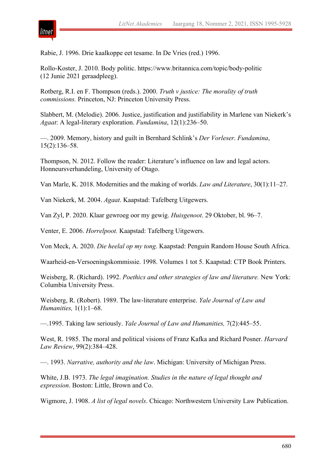

Rabie, J. 1996. Drie kaalkoppe eet tesame. In De Vries (red.) 1996.

Rollo-Koster, J. 2010. Body politic. https://www.britannica.com/topic/body-politic (12 Junie 2021 geraadpleeg).

Rotberg, R.I. en F. Thompson (reds.). 2000. *Truth v justice: The morality of truth commissions.* Princeton, NJ: Princeton University Press.

Slabbert, M. (Melodie). 2006. Justice, justification and justifiability in Marlene van Niekerk's *Agaat*: A legal-literary exploration. *Fundamina*, 12(1):236–50.

—. 2009. Memory, history and guilt in Bernhard Schlink's *Der Vorleser*. *Fundamina*, 15(2):136–58.

Thompson, N. 2012. Follow the reader: Literature's influence on law and legal actors. Honneursverhandeling, University of Otago.

Van Marle, K. 2018. Modernities and the making of worlds. *Law and Literature*, 30(1):11–27.

Van Niekerk, M. 2004. *Agaat*. Kaapstad: Tafelberg Uitgewers.

Van Zyl, P. 2020. Klaar gewroeg oor my gewig. *Huisgenoot*. 29 Oktober, bl. 96–7.

Venter, E. 2006. *Horrelpoot.* Kaapstad: Tafelberg Uitgewers.

Von Meck, A. 2020. *Die heelal op my tong*. Kaapstad: Penguin Random House South Africa.

Waarheid-en-Versoeningskommissie. 1998. Volumes 1 tot 5. Kaapstad: CTP Book Printers.

Weisberg, R. (Richard). 1992. *Poethics and other strategies of law and literature.* New York: Columbia University Press.

Weisberg, R. (Robert). 1989. The law-literature enterprise. *Yale Journal of Law and Humanities,* 1(1):1–68.

—.1995. Taking law seriously. *Yale Journal of Law and Humanities,* 7(2):445–55.

West, R. 1985. The moral and political visions of Franz Kafka and Richard Posner. *Harvard Law Review*, 99(2):384–428.

—. 1993. *Narrative, authority and the law*. Michigan: University of Michigan Press.

White, J.B. 1973. *The legal imagination. Studies in the nature of legal thought and expression*. Boston: Little, Brown and Co.

Wigmore, J. 1908. *A list of legal novels*. Chicago: Northwestern University Law Publication.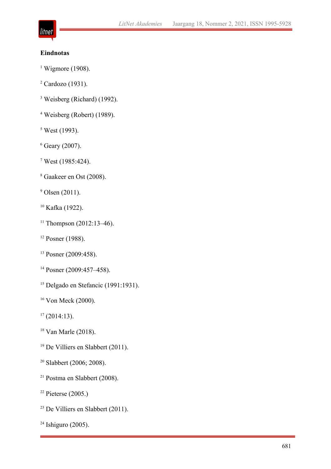# litnet

# **Eindnotas**

- Wigmore (1908).
- Cardozo (1931).
- Weisberg (Richard) (1992).
- Weisberg (Robert) (1989).
- West (1993).
- Geary (2007).
- West (1985:424).
- Gaakeer en Ost (2008).
- Olsen (2011).
- Kafka (1922).
- <sup>11</sup> Thompson (2012:13-46).
- <sup>12</sup> Posner (1988).
- Posner (2009:458).
- Posner (2009:457–458).
- <sup>15</sup> Delgado en Stefancic (1991:1931).
- <sup>16</sup> Von Meck (2000).
- (2014:13).
- Van Marle (2018).
- <sup>19</sup> De Villiers en Slabbert (2011).
- <sup>20</sup> Slabbert (2006; 2008).
- Postma en Slabbert (2008).
- <sup>22</sup> Pieterse (2005.)
- De Villiers en Slabbert (2011).
- Ishiguro (2005).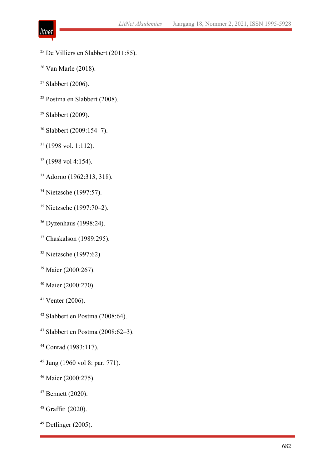- litnet
- <sup>25</sup> De Villiers en Slabbert (2011:85).
- Van Marle (2018).
- Slabbert (2006).
- Postma en Slabbert (2008).
- Slabbert (2009).
- Slabbert (2009:154–7).
- (1998 vol. 1:112).
- (1998 vol 4:154).
- Adorno (1962:313, 318).
- <sup>34</sup> Nietzsche (1997:57).
- Nietzsche (1997:70–2).
- Dyzenhaus (1998:24).
- <sup>37</sup> Chaskalson (1989:295).
- Nietzsche (1997:62)
- <sup>39</sup> Maier (2000:267).
- Maier (2000:270).
- Venter (2006).
- Slabbert en Postma (2008:64).
- Slabbert en Postma (2008:62–3).
- Conrad (1983:117).
- Jung (1960 vol 8: par. 771).
- Maier (2000:275).
- Bennett (2020).
- Graffiti (2020).
- Detlinger (2005).